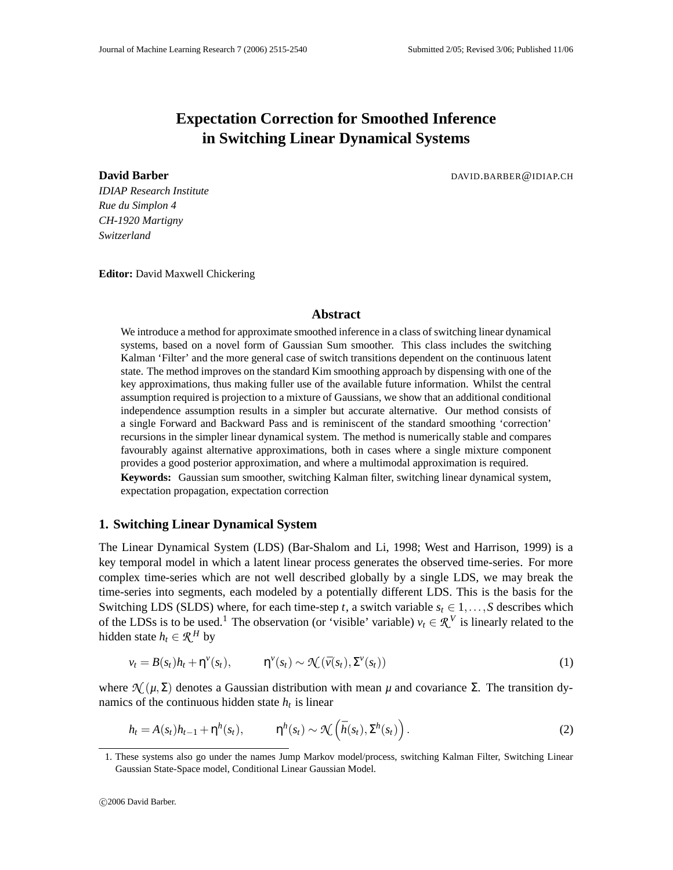# **Expectation Correction for Smoothed Inference in Switching Linear Dynamical Systems**

**David Barber DAVID.BARBER@IDIAP.CH** 

*IDIAP Research Institute Rue du Simplon 4 CH-1920 Martigny Switzerland*

**Editor:** David Maxwell Chickering

# **Abstract**

We introduce a method for approximate smoothed inference in a class of switching linear dynamical systems, based on a novel form of Gaussian Sum smoother. This class includes the switching Kalman 'Filter' and the more general case of switch transitions dependent on the continuous latent state. The method improves on the standard Kim smoothing approach by dispensing with one of the key approximations, thus making fuller use of the available future information. Whilst the central assumption required is projection to a mixture of Gaussians, we show that an additional conditional independence assumption results in a simpler but accurate alternative. Our method consists of a single Forward and Backward Pass and is reminiscent of the standard smoothing 'correction' recursions in the simpler linear dynamical system. The method is numerically stable and compares favourably against alternative approximations, both in cases where a single mixture component provides a good posterior approximation, and where a multimodal approximation is required.

**Keywords:** Gaussian sum smoother, switching Kalman filter, switching linear dynamical system, expectation propagation, expectation correction

# **1. Switching Linear Dynamical System**

The Linear Dynamical System (LDS) (Bar-Shalom and Li, 1998; West and Harrison, 1999) is a key temporal model in which a latent linear process generates the observed time-series. For more complex time-series which are not well described globally by a single LDS, we may break the time-series into segments, each modeled by a potentially different LDS. This is the basis for the Switching LDS (SLDS) where, for each time-step *t*, a switch variable  $s_t \in 1, \ldots, S$  describes which of the LDSs is to be used.<sup>1</sup> The observation (or 'visible' variable)  $v_t \in \mathcal{R}^V$  is linearly related to the hidden state  $h_t \in \mathcal{R}^H$  by

$$
v_t = B(s_t)h_t + \eta^{\nu}(s_t), \qquad \eta^{\nu}(s_t) \sim \mathcal{N}(\bar{\nu}(s_t), \Sigma^{\nu}(s_t))
$$
\n<sup>(1)</sup>

where  $\mathcal{N}_{\mu}(\mu, \Sigma)$  denotes a Gaussian distribution with mean *μ* and covariance Σ. The transition dynamics of the continuous hidden state  $h_t$  is linear

$$
h_t = A(s_t)h_{t-1} + \eta^h(s_t), \qquad \eta^h(s_t) \sim \mathcal{N}\left(\bar{h}(s_t), \Sigma^h(s_t)\right). \tag{2}
$$

<sup>1.</sup> These systems also go under the names Jump Markov model/process, switching Kalman Filter, Switching Linear Gaussian State-Space model, Conditional Linear Gaussian Model.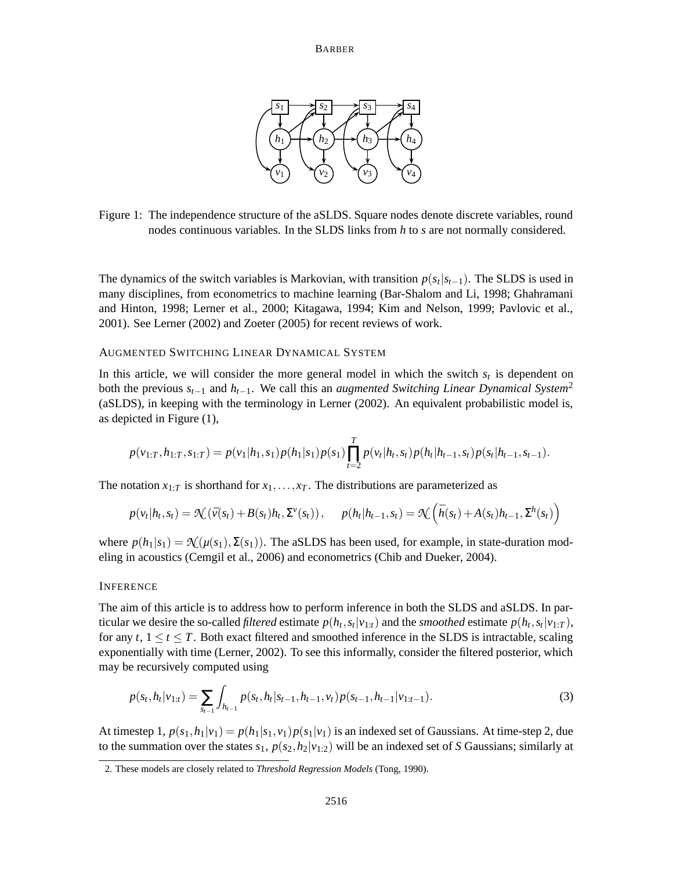

Figure 1: The independence structure of the aSLDS. Square nodes denote discrete variables, round nodes continuous variables. In the SLDS links from *h* to *s* are not normally considered.

The dynamics of the switch variables is Markovian, with transition  $p(s_t|s_{t-1})$ . The SLDS is used in many disciplines, from econometrics to machine learning (Bar-Shalom and Li, 1998; Ghahramani and Hinton, 1998; Lerner et al., 2000; Kitagawa, 1994; Kim and Nelson, 1999; Pavlovic et al., 2001). See Lerner (2002) and Zoeter (2005) for recent reviews of work.

#### AUGMENTED SWITCHING LINEAR DYNAMICAL SYSTEM

In this article, we will consider the more general model in which the switch  $s_t$  is dependent on both the previous  $s_{t-1}$  and  $h_{t-1}$ . We call this an *augmented Switching Linear Dynamical System*<sup>2</sup> (aSLDS), in keeping with the terminology in Lerner (2002). An equivalent probabilistic model is, as depicted in Figure (1),

$$
p(v_{1:T}, h_{1:T}, s_{1:T}) = p(v_1|h_1, s_1)p(h_1|s_1)p(s_1)\prod_{t=2}^T p(v_t|h_t, s_t)p(h_t|h_{t-1}, s_t)p(s_t|h_{t-1}, s_{t-1}).
$$

The notation  $x_{1:T}$  is shorthand for  $x_1, \ldots, x_T$ . The distributions are parameterized as

$$
p(v_t|h_t, s_t) = \mathcal{N}(\bar{v}(s_t) + B(s_t)h_t, \Sigma^{\nu}(s_t)), \quad p(h_t|h_{t-1}, s_t) = \mathcal{N}\left(\bar{h}(s_t) + A(s_t)h_{t-1}, \Sigma^h(s_t)\right)
$$

where  $p(h_1|s_1) = \mathcal{N}(\mu(s_1), \Sigma(s_1))$ . The aSLDS has been used, for example, in state-duration modeling in acoustics (Cemgil et al., 2006) and econometrics (Chib and Dueker, 2004).

# INFERENCE

The aim of this article is to address how to perform inference in both the SLDS and aSLDS. In particular we desire the so-called *filtered* estimate  $p(h_t, s_t | v_{1:t})$  and the *smoothed* estimate  $p(h_t, s_t | v_{1:T})$ , for any  $t, 1 \le t \le T$ . Both exact filtered and smoothed inference in the SLDS is intractable, scaling exponentially with time (Lerner, 2002). To see this informally, consider the filtered posterior, which may be recursively computed using

$$
p(s_t, h_t | v_{1:t}) = \sum_{s_{t-1}} \int_{h_{t-1}} p(s_t, h_t | s_{t-1}, h_{t-1}, v_t) p(s_{t-1}, h_{t-1} | v_{1:t-1}).
$$
\n(3)

At timestep 1,  $p(s_1, h_1|v_1) = p(h_1|s_1, v_1)p(s_1|v_1)$  is an indexed set of Gaussians. At time-step 2, due to the summation over the states  $s_1$ ,  $p(s_2,h_2|v_{1:2})$  will be an indexed set of *S* Gaussians; similarly at

<sup>2.</sup> These models are closely related to *Threshold Regression Models* (Tong, 1990).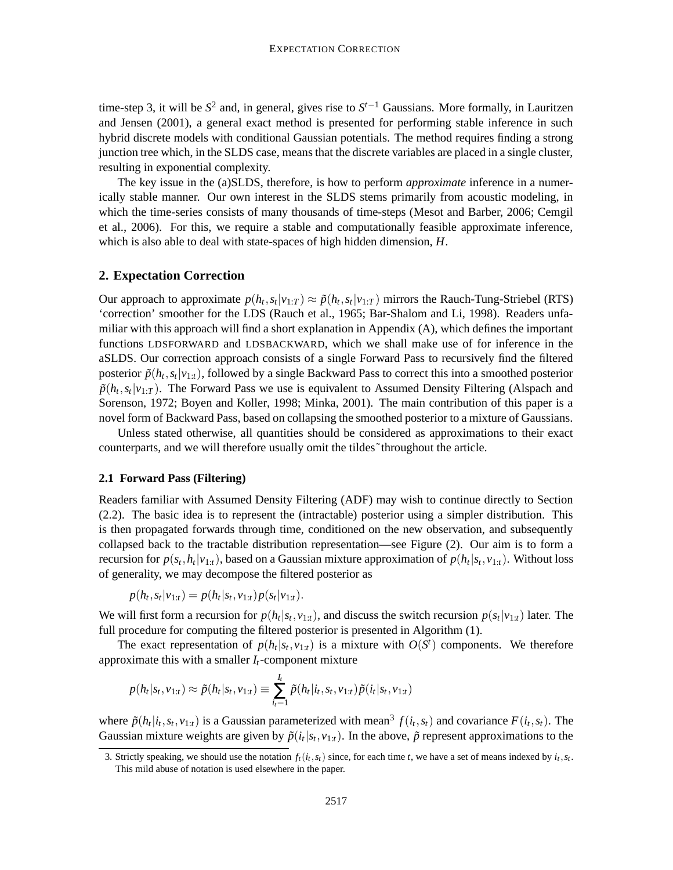time-step 3, it will be  $S^2$  and, in general, gives rise to  $S^{t-1}$  Gaussians. More formally, in Lauritzen and Jensen (2001), a general exact method is presented for performing stable inference in such hybrid discrete models with conditional Gaussian potentials. The method requires finding a strong junction tree which, in the SLDS case, means that the discrete variables are placed in a single cluster, resulting in exponential complexity.

The key issue in the (a)SLDS, therefore, is how to perform *approximate* inference in a numerically stable manner. Our own interest in the SLDS stems primarily from acoustic modeling, in which the time-series consists of many thousands of time-steps (Mesot and Barber, 2006; Cemgil et al., 2006). For this, we require a stable and computationally feasible approximate inference, which is also able to deal with state-spaces of high hidden dimension, *H*.

### **2. Expectation Correction**

Our approach to approximate  $p(h_t, s_t | v_{1:T}) \approx \tilde{p}(h_t, s_t | v_{1:T})$  mirrors the Rauch-Tung-Striebel (RTS) 'correction' smoother for the LDS (Rauch et al., 1965; Bar-Shalom and Li, 1998). Readers unfamiliar with this approach will find a short explanation in Appendix (A), which defines the important functions LDSFORWARD and LDSBACKWARD, which we shall make use of for inference in the aSLDS. Our correction approach consists of a single Forward Pass to recursively find the filtered posterior  $\tilde{p}(h_t, s_t | v_{1:t})$ , followed by a single Backward Pass to correct this into a smoothed posterior  $\tilde{p}(h_t, s_t | v_{1:T})$ . The Forward Pass we use is equivalent to Assumed Density Filtering (Alspach and Sorenson, 1972; Boyen and Koller, 1998; Minka, 2001). The main contribution of this paper is a novel form of Backward Pass, based on collapsing the smoothed posterior to a mixture of Gaussians.

Unless stated otherwise, all quantities should be considered as approximations to their exact counterparts, and we will therefore usually omit the tildes˜throughout the article.

# **2.1 Forward Pass (Filtering)**

Readers familiar with Assumed Density Filtering (ADF) may wish to continue directly to Section (2.2). The basic idea is to represent the (intractable) posterior using a simpler distribution. This is then propagated forwards through time, conditioned on the new observation, and subsequently collapsed back to the tractable distribution representation—see Figure (2). Our aim is to form a recursion for  $p(s_t, h_t | v_{1:t})$ , based on a Gaussian mixture approximation of  $p(h_t | s_t, v_{1:t})$ . Without loss of generality, we may decompose the filtered posterior as

$$
p(h_t, s_t | v_{1:t}) = p(h_t | s_t, v_{1:t}) p(s_t | v_{1:t}).
$$

We will first form a recursion for  $p(h_t|s_t, v_{1:t})$ , and discuss the switch recursion  $p(s_t|v_{1:t})$  later. The full procedure for computing the filtered posterior is presented in Algorithm (1).

The exact representation of  $p(h_t | s_t, v_{1:t})$  is a mixture with  $O(S^t)$  components. We therefore approximate this with a smaller  $I_t$ -component mixture

$$
p(h_t|s_t, v_{1:t}) \approx \tilde{p}(h_t|s_t, v_{1:t}) \equiv \sum_{i_t=1}^{I_t} \tilde{p}(h_t|i_t, s_t, v_{1:t}) \tilde{p}(i_t|s_t, v_{1:t})
$$

where  $\tilde{p}(h_t|i_t, s_t, v_{1:t})$  is a Gaussian parameterized with mean<sup>3</sup>  $f(i_t, s_t)$  and covariance  $F(i_t, s_t)$ . The Gaussian mixture weights are given by  $\tilde{p}(i_t|s_t, v_{1:t})$ . In the above,  $\tilde{p}$  represent approximations to the

<sup>3.</sup> Strictly speaking, we should use the notation  $f_t(i_t, s_t)$  since, for each time *t*, we have a set of means indexed by  $i_t, s_t$ . This mild abuse of notation is used elsewhere in the paper.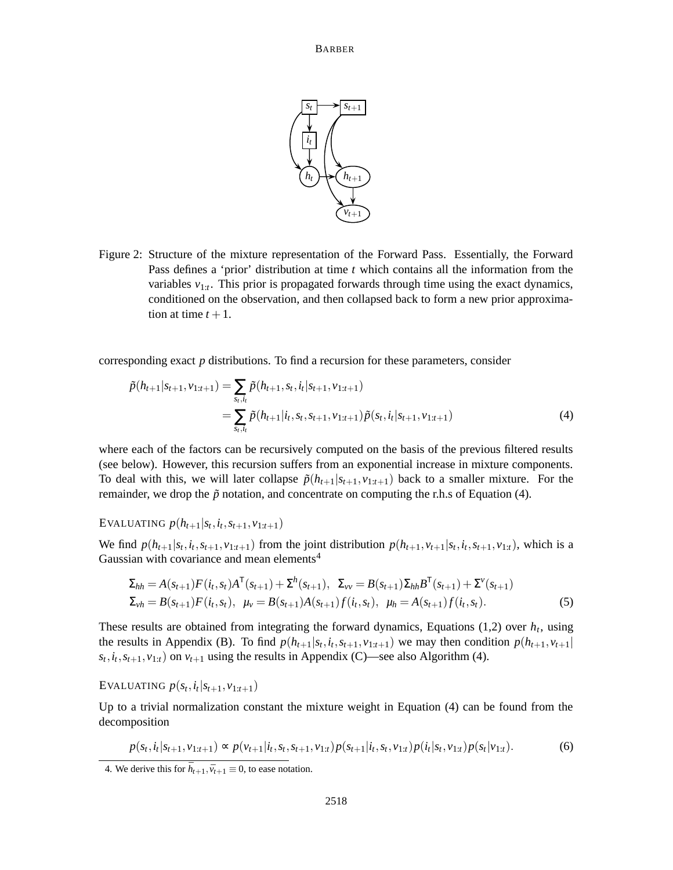

Figure 2: Structure of the mixture representation of the Forward Pass. Essentially, the Forward Pass defines a 'prior' distribution at time *t* which contains all the information from the variables  $v_{1:t}$ . This prior is propagated forwards through time using the exact dynamics, conditioned on the observation, and then collapsed back to form a new prior approximation at time  $t + 1$ .

corresponding exact *p* distributions. To find a recursion for these parameters, consider

$$
\tilde{p}(h_{t+1}|s_{t+1}, v_{1:t+1}) = \sum_{s_t, i_t} \tilde{p}(h_{t+1}, s_t, i_t|s_{t+1}, v_{1:t+1})
$$
\n
$$
= \sum_{s_t, i_t} \tilde{p}(h_{t+1}|i_t, s_t, s_{t+1}, v_{1:t+1}) \tilde{p}(s_t, i_t|s_{t+1}, v_{1:t+1})
$$
\n(4)

where each of the factors can be recursively computed on the basis of the previous filtered results (see below). However, this recursion suffers from an exponential increase in mixture components. To deal with this, we will later collapse  $\tilde{p}(h_{t+1}|s_{t+1}, v_{1:t+1})$  back to a smaller mixture. For the remainder, we drop the  $\tilde{p}$  notation, and concentrate on computing the r.h.s of Equation (4).

EVALUATING  $p(h_{t+1}|s_t, i_t, s_{t+1}, v_{1:t+1})$ 

We find  $p(h_{t+1}|s_t, i_t, s_{t+1}, v_{1:t+1})$  from the joint distribution  $p(h_{t+1}, v_{t+1}|s_t, i_t, s_{t+1}, v_{1:t})$ , which is a Gaussian with covariance and mean elements<sup>4</sup>

$$
\Sigma_{hh} = A(s_{t+1})F(i_t, s_t)A^{\mathsf{T}}(s_{t+1}) + \Sigma^h(s_{t+1}), \ \Sigma_{vv} = B(s_{t+1})\Sigma_{hh}B^{\mathsf{T}}(s_{t+1}) + \Sigma^v(s_{t+1})
$$
  

$$
\Sigma_{vh} = B(s_{t+1})F(i_t, s_t), \ \mu_v = B(s_{t+1})A(s_{t+1})f(i_t, s_t), \ \mu_h = A(s_{t+1})f(i_t, s_t). \tag{5}
$$

These results are obtained from integrating the forward dynamics, Equations  $(1,2)$  over  $h_t$ , using the results in Appendix (B). To find  $p(h_{t+1}|s_t, i_t, s_{t+1}, v_{1:t+1})$  we may then condition  $p(h_{t+1}, v_{t+1}|s_t, i_t, s_{t+1}, v_{1:t+1})$  $s_t$ ,  $i_t$ ,  $s_{t+1}$ ,  $v_{1:t}$ ) on  $v_{t+1}$  using the results in Appendix (C)—see also Algorithm (4).

EVALUATING  $p(s_t, i_t | s_{t+1}, v_{1:t+1})$ 

Up to a trivial normalization constant the mixture weight in Equation (4) can be found from the decomposition

$$
p(s_t, i_t|s_{t+1}, v_{1:t+1}) \propto p(v_{t+1}|i_t, s_t, s_{t+1}, v_{1:t}) p(s_{t+1}|i_t, s_t, v_{1:t}) p(i_t|s_t, v_{1:t}) p(s_t|v_{1:t}).
$$
\n
$$
(6)
$$

<sup>4.</sup> We derive this for  $\bar{h}_{t+1}, \bar{v}_{t+1} \equiv 0$ , to ease notation.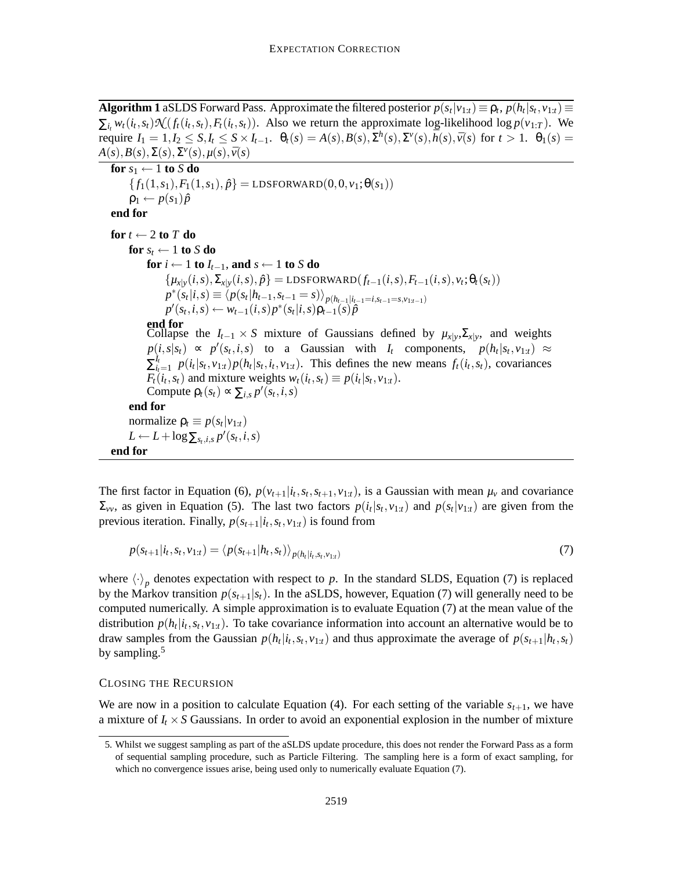**Algorithm 1** aSLDS Forward Pass. Approximate the filtered posterior  $p(s_t|v_{1:t}) \equiv \rho_t$ ,  $p(h_t|s_t, v_{1:t}) \equiv$  $\sum_{i_t} w_t(i_t, s_t) \mathcal{N}(f_t(i_t, s_t), F_t(i_t, s_t))$ . Also we return the approximate log-likelihood log  $p(v_{1:T})$ . We require  $I_1 = 1, I_2 \le S, I_t \le S \times I_{t-1}$ .  $\theta_t(s) = A(s), B(s), \Sigma^h(s), \Sigma^v(s), \bar{h}(s), \bar{v}(s)$  for  $t > 1$ .  $\theta_1(s) =$  $A(s), B(s), \Sigma(s), \Sigma^{\nu}(s), \mu(s), \bar{\nu}(s)$ 

**for**  $s_1 \leftarrow 1$  **to**  $S$  **do**  ${f_1(1,s_1), F_1(1,s_1), \hat{p}} = \text{LDSFORMARD}(0,0, v_1; \theta(s_1))$  $p_1 \leftarrow p(s_1)\hat{p}$ **end for for**  $t \leftarrow 2$  **to**  $T$  **do for**  $s_t \leftarrow 1$  **to**  $S$  **do for**  $i \leftarrow 1$  **to**  $I_{t-1}$ , **and**  $s \leftarrow 1$  **to**  $S$  **do**  $\{\mu_{x|y}(i,s), \Sigma_{x|y}(i,s), \hat{p}\} = \text{LDSFORMARD}(f_{t-1}(i,s), F_{t-1}(i,s), v_t; \theta_t(s_t))$  $p^*(s_t|i,s) \equiv \langle p(s_t|h_{t-1}, s_{t-1} = s) \rangle_{p(h_{t-1}|i_{t-1} = i, s_{t-1} = s, v_{1:t-1})}$  $p'(s_t, i, s) \leftarrow w_{t-1}(i, s)p^*(s_t|i, s)p_{t-1}(s)p$ **end for** Collapse the  $I_{t-1} \times S$  mixture of Gaussians defined by  $\mu_{x|y}$ ,  $\Sigma_{x|y}$ , and weights  $p(i, s|s_t) \propto p'(s_t, i, s)$  to a Gaussian with *I<sub>t</sub>* components,  $p(h_t|s_t, v_{1:t}) \approx$  $\sum_{i}^{I_t}$  $\frac{d_i}{dt_{i-1}} p(i_t|s_t, v_{1:t}) p(h_t|s_t, i_t, v_{1:t})$ . This defines the new means  $f_t(i_t, s_t)$ , covariances  $F_t(i_t, s_t)$  and mixture weights  $w_t(i_t, s_t) \equiv p(i_t|s_t, v_{1:t})$ . Compute  $\rho_t(s_t) \propto \sum_{i,s} p'(s_t, i, s)$ **end for** normalize  $\rho_t \equiv p(s_t | v_{1:t})$  $L \leftarrow L + \log \sum_{s_t, i, s} p'(s_t, i, s)$ **end for**

The first factor in Equation (6),  $p(v_{t+1}|i_t, s_t, s_{t+1}, v_{1:t})$ , is a Gaussian with mean  $\mu_v$  and covariance  $\Sigma_{vv}$ , as given in Equation (5). The last two factors  $p(i_t|s_t, v_{1:t})$  and  $p(s_t|v_{1:t})$  are given from the previous iteration. Finally,  $p(s_{t+1}|i_t, s_t, v_{1:t})$  is found from

$$
p(s_{t+1}|i_t, s_t, v_{1:t}) = \langle p(s_{t+1}|h_t, s_t) \rangle_{p(h_t|i_t, s_t, v_{1:t})}
$$
\n(7)

where  $\langle \cdot \rangle_p$  denotes expectation with respect to *p*. In the standard SLDS, Equation (7) is replaced by the Markov transition  $p(s_{t+1}|s_t)$ . In the aSLDS, however, Equation (7) will generally need to be computed numerically. A simple approximation is to evaluate Equation (7) at the mean value of the distribution  $p(h_t|i_t, s_t, v_{1:t})$ . To take covariance information into account an alternative would be to draw samples from the Gaussian  $p(h_t|i_t, s_t, v_{1:t})$  and thus approximate the average of  $p(s_{t+1}|h_t, s_t)$ by sampling.<sup>5</sup>

#### CLOSING THE RECURSION

We are now in a position to calculate Equation (4). For each setting of the variable  $s_{t+1}$ , we have a mixture of  $I_t \times S$  Gaussians. In order to avoid an exponential explosion in the number of mixture

<sup>5.</sup> Whilst we suggest sampling as part of the aSLDS update procedure, this does not render the Forward Pass as a form of sequential sampling procedure, such as Particle Filtering. The sampling here is a form of exact sampling, for which no convergence issues arise, being used only to numerically evaluate Equation (7).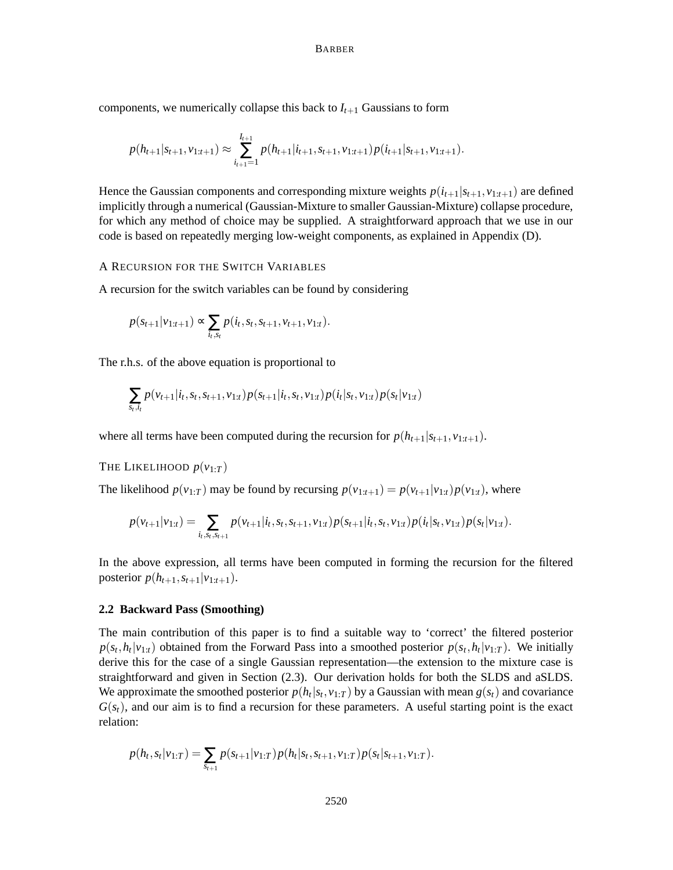components, we numerically collapse this back to  $I_{t+1}$  Gaussians to form

$$
p(h_{t+1}|s_{t+1},v_{1:t+1}) \approx \sum_{i_{t+1}=1}^{I_{t+1}} p(h_{t+1}|i_{t+1},s_{t+1},v_{1:t+1}) p(i_{t+1}|s_{t+1},v_{1:t+1}).
$$

Hence the Gaussian components and corresponding mixture weights  $p(i_{t+1}|s_{t+1}, v_{1:t+1})$  are defined implicitly through a numerical (Gaussian-Mixture to smaller Gaussian-Mixture) collapse procedure, for which any method of choice may be supplied. A straightforward approach that we use in our code is based on repeatedly merging low-weight components, as explained in Appendix (D).

# A RECURSION FOR THE SWITCH VARIABLES

A recursion for the switch variables can be found by considering

$$
p(s_{t+1} | v_{1:t+1}) \propto \sum_{i_t, s_t} p(i_t, s_t, s_{t+1}, v_{t+1}, v_{1:t}).
$$

The r.h.s. of the above equation is proportional to

$$
\sum_{s_t,i_t} p(v_{t+1}|i_t,s_t,s_{t+1},v_{1:t}) p(s_{t+1}|i_t,s_t,v_{1:t}) p(i_t|s_t,v_{1:t}) p(s_t|v_{1:t})
$$

where all terms have been computed during the recursion for  $p(h_{t+1}|s_{t+1}, v_{1:t+1})$ .

# THE LIKELIHOOD  $p(v_1 \cdot T)$

The likelihood  $p(v_{1:T})$  may be found by recursing  $p(v_{1:t+1}) = p(v_{t+1}|v_{1:t})p(v_{1:t})$ , where

$$
p(v_{t+1}|v_{1:t}) = \sum_{i_t,s_t,s_{t+1}} p(v_{t+1}|i_t,s_t,s_{t+1},v_{1:t}) p(s_{t+1}|i_t,s_t,v_{1:t}) p(i_t|s_t,v_{1:t}) p(s_t|v_{1:t}).
$$

In the above expression, all terms have been computed in forming the recursion for the filtered posterior  $p(h_{t+1}, s_{t+1}|v_{1:t+1})$ .

# **2.2 Backward Pass (Smoothing)**

The main contribution of this paper is to find a suitable way to 'correct' the filtered posterior  $p(s_t, h_t|v_{1:t})$  obtained from the Forward Pass into a smoothed posterior  $p(s_t, h_t|v_{1:T})$ . We initially derive this for the case of a single Gaussian representation—the extension to the mixture case is straightforward and given in Section (2.3). Our derivation holds for both the SLDS and aSLDS. We approximate the smoothed posterior  $p(h_t|s_t, v_{1:T})$  by a Gaussian with mean  $g(s_t)$  and covariance  $G(s<sub>t</sub>)$ , and our aim is to find a recursion for these parameters. A useful starting point is the exact relation:

$$
p(h_t, s_t | v_{1:T}) = \sum_{s_{t+1}} p(s_{t+1} | v_{1:T}) p(h_t | s_t, s_{t+1}, v_{1:T}) p(s_t | s_{t+1}, v_{1:T}).
$$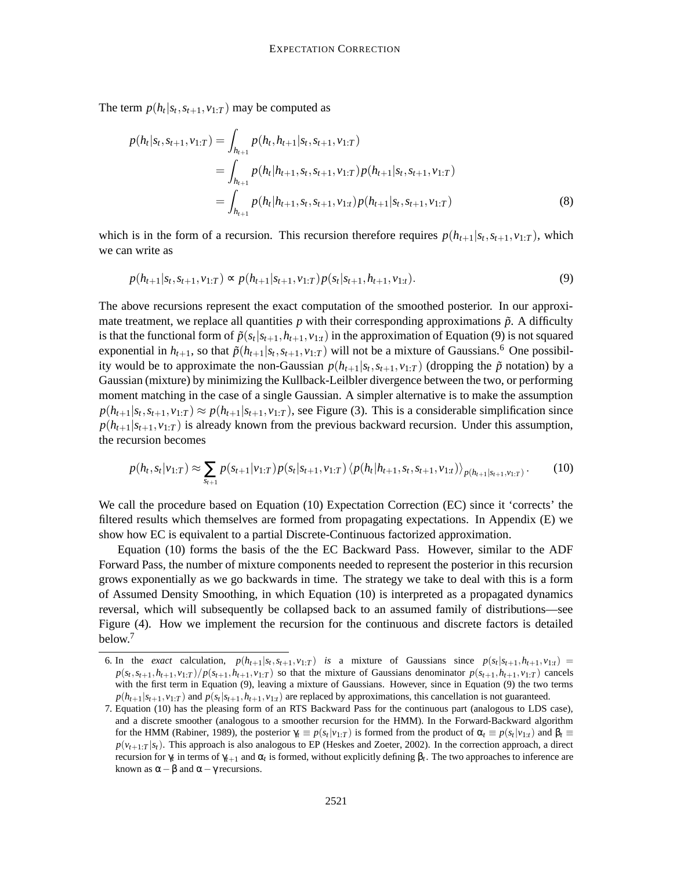The term  $p(h_t|s_t, s_{t+1}, v_{1:T})$  may be computed as

$$
p(h_t|s_t, s_{t+1}, v_{1:T}) = \int_{h_{t+1}} p(h_t, h_{t+1}|s_t, s_{t+1}, v_{1:T})
$$
  
= 
$$
\int_{h_{t+1}} p(h_t|h_{t+1}, s_t, s_{t+1}, v_{1:T}) p(h_{t+1}|s_t, s_{t+1}, v_{1:T})
$$
  
= 
$$
\int_{h_{t+1}} p(h_t|h_{t+1}, s_t, s_{t+1}, v_{1:t}) p(h_{t+1}|s_t, s_{t+1}, v_{1:T})
$$
(8)

which is in the form of a recursion. This recursion therefore requires  $p(h_{t+1}|s_t, s_{t+1}, v_{1:T})$ , which we can write as

$$
p(h_{t+1}|s_t, s_{t+1}, v_{1:T}) \propto p(h_{t+1}|s_{t+1}, v_{1:T}) p(s_t|s_{t+1}, h_{t+1}, v_{1:t}).
$$
\n(9)

The above recursions represent the exact computation of the smoothed posterior. In our approximate treatment, we replace all quantities  $p$  with their corresponding approximations  $\tilde{p}$ . A difficulty is that the functional form of  $\tilde{p}(s_t|s_{t+1}, h_{t+1}, v_{1:t})$  in the approximation of Equation (9) is not squared exponential in  $h_{t+1}$ , so that  $\tilde{p}(h_{t+1}|s_t, s_{t+1}, v_{1:T})$  will not be a mixture of Gaussians.<sup>6</sup> One possibility would be to approximate the non-Gaussian  $p(h_{t+1}|s_t, s_{t+1}, v_{1:T})$  (dropping the  $\tilde{p}$  notation) by a Gaussian (mixture) by minimizing the Kullback-Leilbler divergence between the two, or performing moment matching in the case of a single Gaussian. A simpler alternative is to make the assumption  $p(h_{t+1}|s_t, s_{t+1}, v_{1:T}) \approx p(h_{t+1}|s_{t+1}, v_{1:T})$ , see Figure (3). This is a considerable simplification since  $p(h_{t+1}|s_{t+1}, v_{1:T})$  is already known from the previous backward recursion. Under this assumption, the recursion becomes

$$
p(h_t, s_t | v_{1:T}) \approx \sum_{s_{t+1}} p(s_{t+1} | v_{1:T}) p(s_t | s_{t+1}, v_{1:T}) \langle p(h_t | h_{t+1}, s_t, s_{t+1}, v_{1:t}) \rangle_{p(h_{t+1} | s_{t+1}, v_{1:T})}. \tag{10}
$$

We call the procedure based on Equation (10) Expectation Correction (EC) since it 'corrects' the filtered results which themselves are formed from propagating expectations. In Appendix (E) we show how EC is equivalent to a partial Discrete-Continuous factorized approximation.

Equation (10) forms the basis of the the EC Backward Pass. However, similar to the ADF Forward Pass, the number of mixture components needed to represent the posterior in this recursion grows exponentially as we go backwards in time. The strategy we take to deal with this is a form of Assumed Density Smoothing, in which Equation (10) is interpreted as a propagated dynamics reversal, which will subsequently be collapsed back to an assumed family of distributions—see Figure (4). How we implement the recursion for the continuous and discrete factors is detailed below. 7

<sup>6.</sup> In the *exact* calculation,  $p(h_{t+1}|s_t, s_{t+1}, v_{1:T})$  is a mixture of Gaussians since  $p(s_t|s_{t+1}, h_{t+1}, v_{1:T}) =$  $p(s_t, s_{t+1}, h_{t+1}, v_{1:T})/p(s_{t+1}, h_{t+1}, v_{1:T})$  so that the mixture of Gaussians denominator  $p(s_{t+1}, h_{t+1}, v_{1:T})$  cancels with the first term in Equation (9), leaving a mixture of Gaussians. However, since in Equation (9) the two terms  $p(h_{t+1}|s_{t+1}, v_{1:T})$  and  $p(s_t|s_{t+1}, h_{t+1}, v_{1:T})$  are replaced by approximations, this cancellation is not guaranteed.

<sup>7.</sup> Equation (10) has the pleasing form of an RTS Backward Pass for the continuous part (analogous to LDS case), and a discrete smoother (analogous to a smoother recursion for the HMM). In the Forward-Backward algorithm for the HMM (Rabiner, 1989), the posterior  $\gamma_t \equiv p(s_t|v_{1:T})$  is formed from the product of  $\alpha_t \equiv p(s_t|v_{1:t})$  and  $\beta_t \equiv$  $p(v_{t+1}:T|s_t)$ . This approach is also analogous to EP (Heskes and Zoeter, 2002). In the correction approach, a direct recursion for  $\gamma_t$  in terms of  $\gamma_{t+1}$  and  $\alpha_t$  is formed, without explicitly defining  $\beta_t$ . The two approaches to inference are known as  $\alpha - \beta$  and  $\alpha - \gamma$  recursions.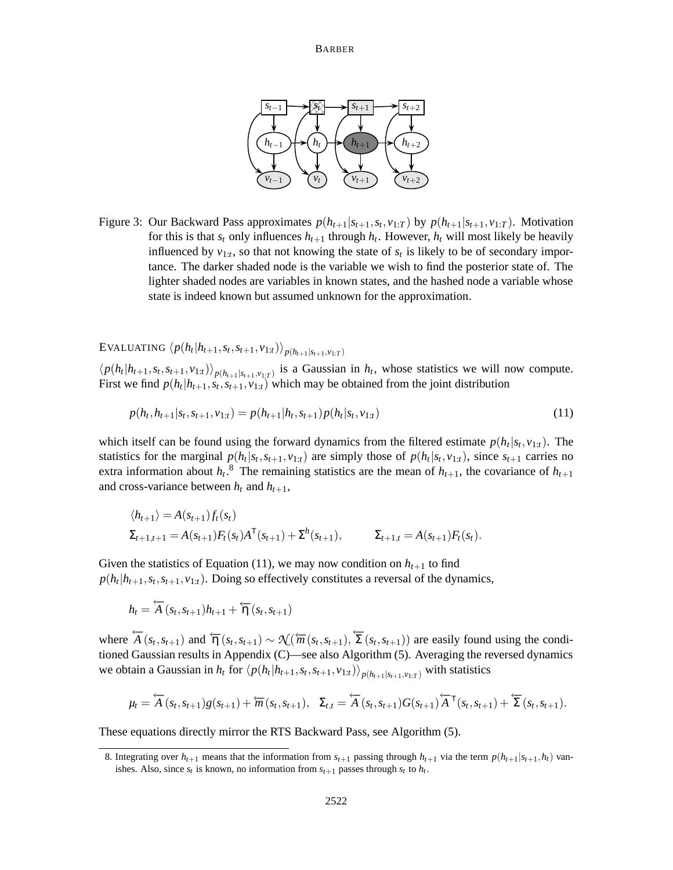

Figure 3: Our Backward Pass approximates  $p(h_{t+1}|s_{t+1}, s_t, v_{1:T})$  by  $p(h_{t+1}|s_{t+1}, v_{1:T})$ . Motivation for this is that  $s_t$  only influences  $h_{t+1}$  through  $h_t$ . However,  $h_t$  will most likely be heavily influenced by  $v_{1:t}$ , so that not knowing the state of  $s_t$  is likely to be of secondary importance. The darker shaded node is the variable we wish to find the posterior state of. The lighter shaded nodes are variables in known states, and the hashed node a variable whose state is indeed known but assumed unknown for the approximation.

# $\big\langle p(h_t | h_{t+1}, s_t, s_{t+1}, v_{1:t}) \big\rangle_{p(h_{t+1} | s_{t+1}, v_{1:T})}$

 $\langle p(h_t | h_{t+1}, s_t, s_{t+1}, v_{1:t}) \rangle_{p(h_{t+1} | s_{t+1}, v_{1:T})}$  is a Gaussian in  $h_t$ , whose statistics we will now compute. First we find  $p(h_t | h_{t+1}, s_t, s_{t+1}, v_{1:t})$  which may be obtained from the joint distribution

$$
p(h_t, h_{t+1}|s_t, s_{t+1}, v_{1:t}) = p(h_{t+1}|h_t, s_{t+1})p(h_t|s_t, v_{1:t})
$$
\n(11)

which itself can be found using the forward dynamics from the filtered estimate  $p(h_t|s_t, v_{1:t})$ . The statistics for the marginal  $p(h_t|s_t,s_{t+1},v_{1:t})$  are simply those of  $p(h_t|s_t,v_{1:t})$ , since  $s_{t+1}$  carries no extra information about  $h_t$ <sup>8</sup>. The remaining statistics are the mean of  $h_{t+1}$ , the covariance of  $h_{t+1}$ and cross-variance between  $h_t$  and  $h_{t+1}$ ,

$$
\langle h_{t+1} \rangle = A(s_{t+1}) f_t(s_t)
$$
  
\n
$$
\Sigma_{t+1,t+1} = A(s_{t+1}) F_t(s_t) A^{\mathsf{T}}(s_{t+1}) + \Sigma^h(s_{t+1}), \qquad \Sigma_{t+1,t} = A(s_{t+1}) F_t(s_t).
$$

Given the statistics of Equation (11), we may now condition on  $h_{t+1}$  to find  $p(h_t | h_{t+1}, s_t, s_{t+1}, v_{1:t})$ . Doing so effectively constitutes a reversal of the dynamics,

$$
h_t = \overleftarrow{A}(s_t, s_{t+1})h_{t+1} + \overleftarrow{\eta}(s_t, s_{t+1})
$$

where  $\overleftarrow{A}(s_t, s_{t+1})$  and  $\overleftarrow{\eta}(s_t, s_{t+1}) \sim \mathcal{N}(\overleftarrow{m}(s_t, s_{t+1}), \overleftarrow{\Sigma}(s_t, s_{t+1}))$  are easily found using the conditioned Gaussian results in Appendix (C)—see also Algorithm (5). Averaging the reversed dynamics we obtain a Gaussian in  $h_t$  for  $\langle p(h_t|h_{t+1}, s_t, s_{t+1}, v_{1:t}) \rangle_{p(h_{t+1}|s_{t+1}, v_{1:T})}$  with statistics

$$
\mu_t = \overleftarrow{A}(s_t, s_{t+1})g(s_{t+1}) + \overleftarrow{m}(s_t, s_{t+1}), \ \ \Sigma_{t,t} = \overleftarrow{A}(s_t, s_{t+1})G(s_{t+1})\overleftarrow{A}^{\mathsf{T}}(s_t, s_{t+1}) + \overleftarrow{\Sigma}(s_t, s_{t+1}).
$$

These equations directly mirror the RTS Backward Pass, see Algorithm (5).

<sup>8.</sup> Integrating over  $h_{t+1}$  means that the information from  $s_{t+1}$  passing through  $h_{t+1}$  via the term  $p(h_{t+1}|s_{t+1}, h_t)$  vanishes. Also, since  $s_t$  is known, no information from  $s_{t+1}$  passes through  $s_t$  to  $h_t$ .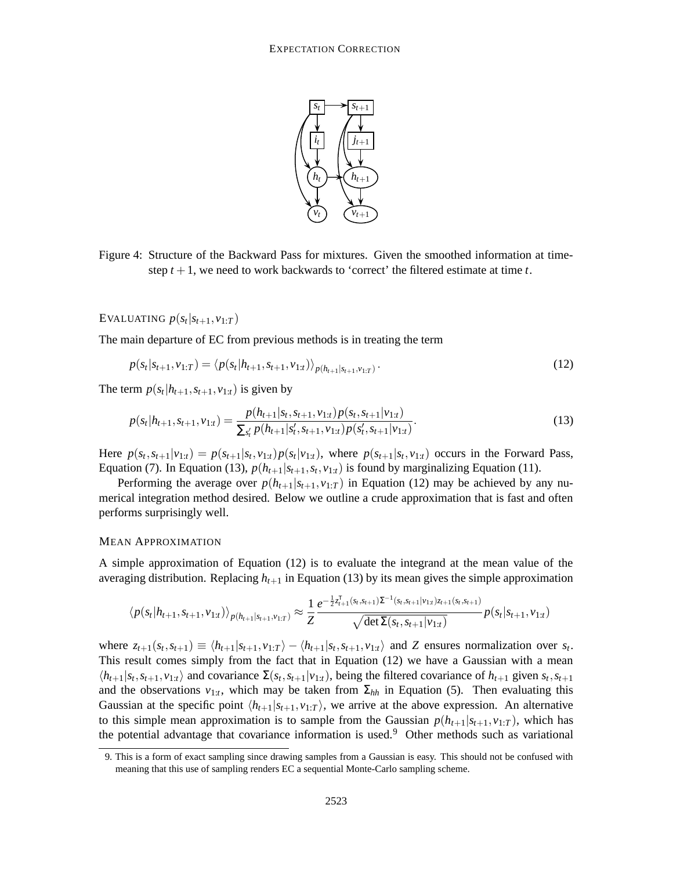

Figure 4: Structure of the Backward Pass for mixtures. Given the smoothed information at timestep  $t + 1$ , we need to work backwards to 'correct' the filtered estimate at time  $t$ .

EVALUATING  $p(s_t|s_{t+1}, v_{1:T})$ 

The main departure of EC from previous methods is in treating the term

$$
p(s_t|s_{t+1}, v_{1:T}) = \langle p(s_t|h_{t+1}, s_{t+1}, v_{1:t}) \rangle_{p(h_{t+1}|s_{t+1}, v_{1:T})}.
$$
\n(12)

The term  $p(s_t | h_{t+1}, s_{t+1}, v_{1:t})$  is given by

$$
p(s_t|h_{t+1}, s_{t+1}, v_{1:t}) = \frac{p(h_{t+1}|s_t, s_{t+1}, v_{1:t})p(s_t, s_{t+1}|v_{1:t})}{\sum_{s'_t} p(h_{t+1}|s'_t, s_{t+1}, v_{1:t})p(s'_t, s_{t+1}|v_{1:t})}.
$$
\n(13)

Here  $p(s_t, s_{t+1} | v_{1:t}) = p(s_{t+1} | s_t, v_{1:t}) p(s_t | v_{1:t})$ , where  $p(s_{t+1} | s_t, v_{1:t})$  occurs in the Forward Pass, Equation (7). In Equation (13),  $p(h_{t+1}|s_{t+1}, s_t, v_{1:t})$  is found by marginalizing Equation (11).

Performing the average over  $p(h_{t+1}|s_{t+1}, v_{1:T})$  in Equation (12) may be achieved by any numerical integration method desired. Below we outline a crude approximation that is fast and often performs surprisingly well.

#### MEAN APPROXIMATION

A simple approximation of Equation (12) is to evaluate the integrand at the mean value of the averaging distribution. Replacing  $h_{t+1}$  in Equation (13) by its mean gives the simple approximation

$$
\langle p(s_t|h_{t+1}, s_{t+1}, v_{1:t}) \rangle_{p(h_{t+1}|s_{t+1}, v_{1:T})} \approx \frac{1}{Z} \frac{e^{-\frac{1}{2}z_{t+1}^{\mathrm{T}}(s_t, s_{t+1})\Sigma^{-1}(s_t, s_{t+1}|v_{1:t})z_{t+1}(s_t, s_{t+1})}}{\sqrt{\det \Sigma(s_t, s_{t+1}|v_{1:t})}} p(s_t|s_{t+1}, v_{1:t})
$$

where  $z_{t+1}(s_t, s_{t+1}) \equiv \langle h_{t+1} | s_{t+1}, v_{1:T} \rangle - \langle h_{t+1} | s_t, s_{t+1}, v_{1:t} \rangle$  and Z ensures normalization over  $s_t$ . This result comes simply from the fact that in Equation (12) we have a Gaussian with a mean  $\langle h_{t+1}|s_t, s_{t+1}, v_{1:t}\rangle$  and covariance  $\Sigma(s_t, s_{t+1}|v_{1:t})$ , being the filtered covariance of  $h_{t+1}$  given  $s_t, s_{t+1}$ and the observations  $v_{1:t}$ , which may be taken from  $\Sigma_{hh}$  in Equation (5). Then evaluating this Gaussian at the specific point  $\langle h_{t+1}|s_{t+1}, v_{1:T}\rangle$ , we arrive at the above expression. An alternative to this simple mean approximation is to sample from the Gaussian  $p(h_{t+1}|s_{t+1}, v_{1:T})$ , which has the potential advantage that covariance information is used.<sup>9</sup> Other methods such as variational

<sup>9.</sup> This is a form of exact sampling since drawing samples from a Gaussian is easy. This should not be confused with meaning that this use of sampling renders EC a sequential Monte-Carlo sampling scheme.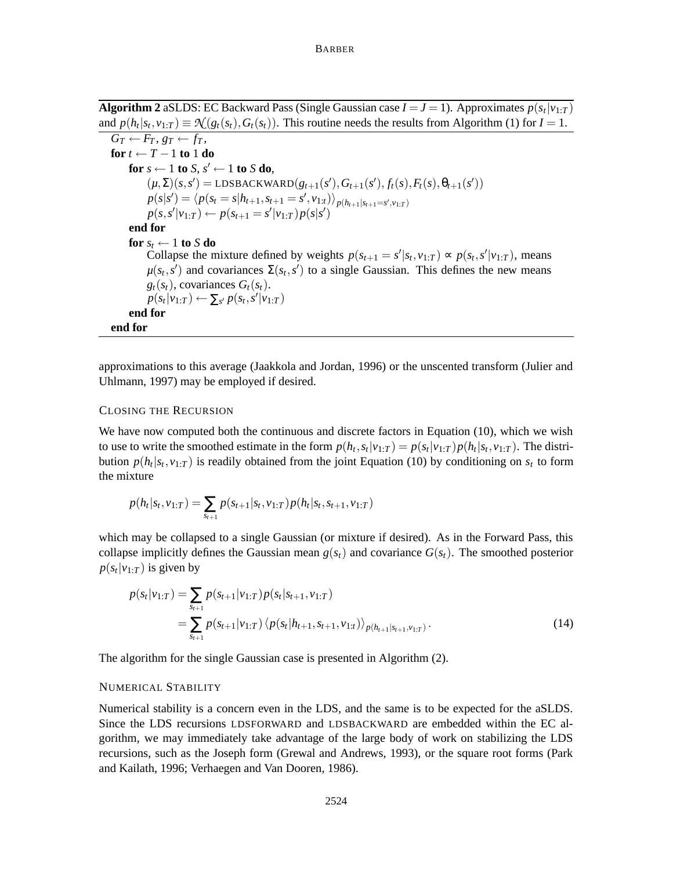```
Algorithm 2 aSLDS: EC Backward Pass (Single Gaussian case I = J = 1). Approximates p(s_t|v_{1:T})and p(h_t|s_t, v_{1:T}) \equiv \mathcal{N}(g_t(s_t), G_t(s_t)). This routine needs the results from Algorithm (1) for I = 1.
```

```
G_T \leftarrow F_T, g_T \leftarrow f_T,for t ← T − 1 to 1 do
     for s \leftarrow 1 to S, s' \leftarrow 1 to S do,
           (\mu, \Sigma)(s, s') = \text{LDSBACKWARD}(g_{t+1}(s'), G_{t+1}(s'), f_t(s), F_t(s), \theta_{t+1}(s'))p(s|s') = \langle p(s_t = s | h_{t+1}, s_{t+1} = s', v_{1:t}) \rangle_{p(h_{t+1}|s_{t+1} = s', v_{1:T})}p(s, s'|v_{1:T}) \leftarrow p(s_{t+1} = s'|v_{1:T})p(s|s')end for
     for s_t \leftarrow 1 to S do
           Collapse the mixture defined by weights p(s_{t+1} = s' | s_t, v_{1:T}) \propto p(s_t, s' | v_{1:T}), means
           \mu(s_t, s') and covariances \Sigma(s_t, s') to a single Gaussian. This defines the new means
          g_t(s_t), covariances G_t(s_t).
           p(s_t|v_{1:T}) \leftarrow \sum_{s'} p(s_t, s'|v_{1:T})end for
end for
```
approximations to this average (Jaakkola and Jordan, 1996) or the unscented transform (Julier and Uhlmann, 1997) may be employed if desired.

# CLOSING THE RECURSION

We have now computed both the continuous and discrete factors in Equation (10), which we wish to use to write the smoothed estimate in the form  $p(h_t, s_t | v_{1:T}) = p(s_t | v_{1:T}) p(h_t | s_t, v_{1:T})$ . The distribution  $p(h_t|s_t, v_{1:T})$  is readily obtained from the joint Equation (10) by conditioning on  $s_t$  to form the mixture

$$
p(h_t|s_t, v_{1:T}) = \sum_{s_{t+1}} p(s_{t+1}|s_t, v_{1:T}) p(h_t|s_t, s_{t+1}, v_{1:T})
$$

which may be collapsed to a single Gaussian (or mixture if desired). As in the Forward Pass, this collapse implicitly defines the Gaussian mean  $g(s_t)$  and covariance  $G(s_t)$ . The smoothed posterior  $p(s_t|v_{1:T})$  is given by

$$
p(s_t|v_{1:T}) = \sum_{s_{t+1}} p(s_{t+1}|v_{1:T}) p(s_t|s_{t+1}, v_{1:T})
$$
  
= 
$$
\sum_{s_{t+1}} p(s_{t+1}|v_{1:T}) \langle p(s_t|h_{t+1}, s_{t+1}, v_{1:t}) \rangle_{p(h_{t+1}|s_{t+1}, v_{1:T})}.
$$
 (14)

The algorithm for the single Gaussian case is presented in Algorithm (2).

# NUMERICAL STABILITY

Numerical stability is a concern even in the LDS, and the same is to be expected for the aSLDS. Since the LDS recursions LDSFORWARD and LDSBACKWARD are embedded within the EC algorithm, we may immediately take advantage of the large body of work on stabilizing the LDS recursions, such as the Joseph form (Grewal and Andrews, 1993), or the square root forms (Park and Kailath, 1996; Verhaegen and Van Dooren, 1986).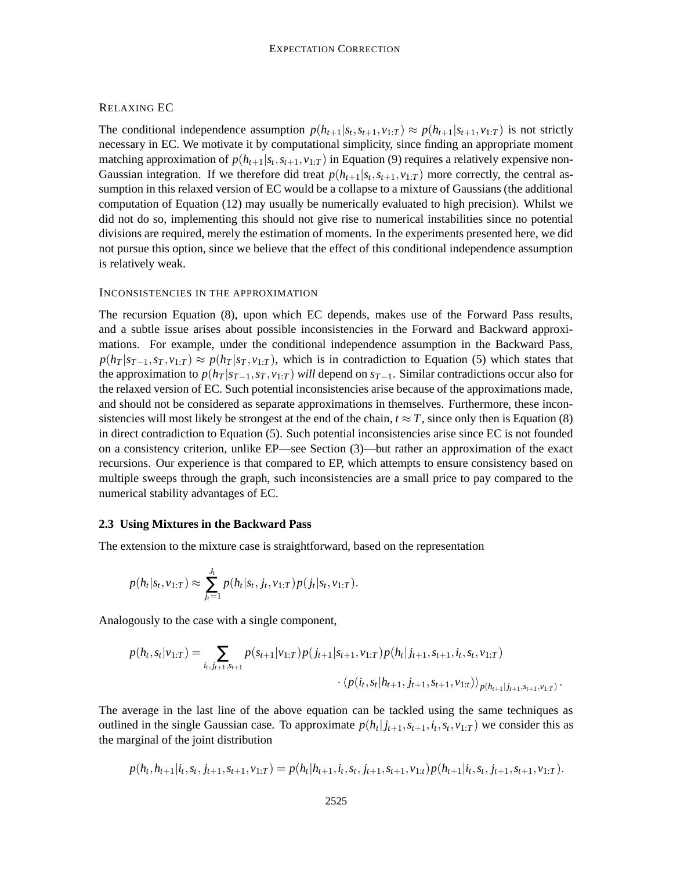# RELAXING EC

The conditional independence assumption  $p(h_{t+1}|s_t, s_{t+1}, v_{1:T}) \approx p(h_{t+1}|s_{t+1}, v_{1:T})$  is not strictly necessary in EC. We motivate it by computational simplicity, since finding an appropriate moment matching approximation of  $p(h_{t+1}|s_t, s_{t+1}, v_{1:T})$  in Equation (9) requires a relatively expensive non-Gaussian integration. If we therefore did treat  $p(h_{t+1}|s_t, s_{t+1}, v_{1:T})$  more correctly, the central assumption in this relaxed version of EC would be a collapse to a mixture of Gaussians (the additional computation of Equation (12) may usually be numerically evaluated to high precision). Whilst we did not do so, implementing this should not give rise to numerical instabilities since no potential divisions are required, merely the estimation of moments. In the experiments presented here, we did not pursue this option, since we believe that the effect of this conditional independence assumption is relatively weak.

#### INCONSISTENCIES IN THE APPROXIMATION

The recursion Equation (8), upon which EC depends, makes use of the Forward Pass results, and a subtle issue arises about possible inconsistencies in the Forward and Backward approximations. For example, under the conditional independence assumption in the Backward Pass,  $p(h_T | s_{T-1}, s_T, v_{1:T}) \approx p(h_T | s_T, v_{1:T})$ , which is in contradiction to Equation (5) which states that the approximation to  $p(h_T | s_{T-1}, s_T, v_{1:T})$  *will* depend on  $s_{T-1}$ . Similar contradictions occur also for the relaxed version of EC. Such potential inconsistencies arise because of the approximations made, and should not be considered as separate approximations in themselves. Furthermore, these inconsistencies will most likely be strongest at the end of the chain,  $t \approx T$ , since only then is Equation (8) in direct contradiction to Equation (5). Such potential inconsistencies arise since EC is not founded on a consistency criterion, unlike EP—see Section (3)—but rather an approximation of the exact recursions. Our experience is that compared to EP, which attempts to ensure consistency based on multiple sweeps through the graph, such inconsistencies are a small price to pay compared to the numerical stability advantages of EC.

#### **2.3 Using Mixtures in the Backward Pass**

The extension to the mixture case is straightforward, based on the representation

$$
p(h_t|s_t, v_{1:T}) \approx \sum_{j_t=1}^{J_t} p(h_t|s_t, j_t, v_{1:T}) p(j_t|s_t, v_{1:T}).
$$

Analogously to the case with a single component,

$$
p(h_t, s_t | v_{1:T}) = \sum_{i_t, j_{t+1}, s_{t+1}} p(s_{t+1} | v_{1:T}) p(j_{t+1} | s_{t+1}, v_{1:T}) p(h_t | j_{t+1}, s_{t+1}, i_t, s_t, v_{1:T})
$$

$$
\cdot \langle p(i_t, s_t | h_{t+1}, j_{t+1}, s_{t+1}, v_{1:T}) \rangle_{p(h_{t+1} | j_{t+1}, s_{t+1}, v_{1:T})}.
$$

The average in the last line of the above equation can be tackled using the same techniques as outlined in the single Gaussian case. To approximate  $p(h_t|j_{t+1}, s_{t+1}, i_t, s_t, v_{1:T})$  we consider this as the marginal of the joint distribution

$$
p(h_t, h_{t+1}|i_t, s_t, j_{t+1}, s_{t+1}, v_{1:T}) = p(h_t|h_{t+1}, i_t, s_t, j_{t+1}, s_{t+1}, v_{1:t})p(h_{t+1}|i_t, s_t, j_{t+1}, s_{t+1}, v_{1:T}).
$$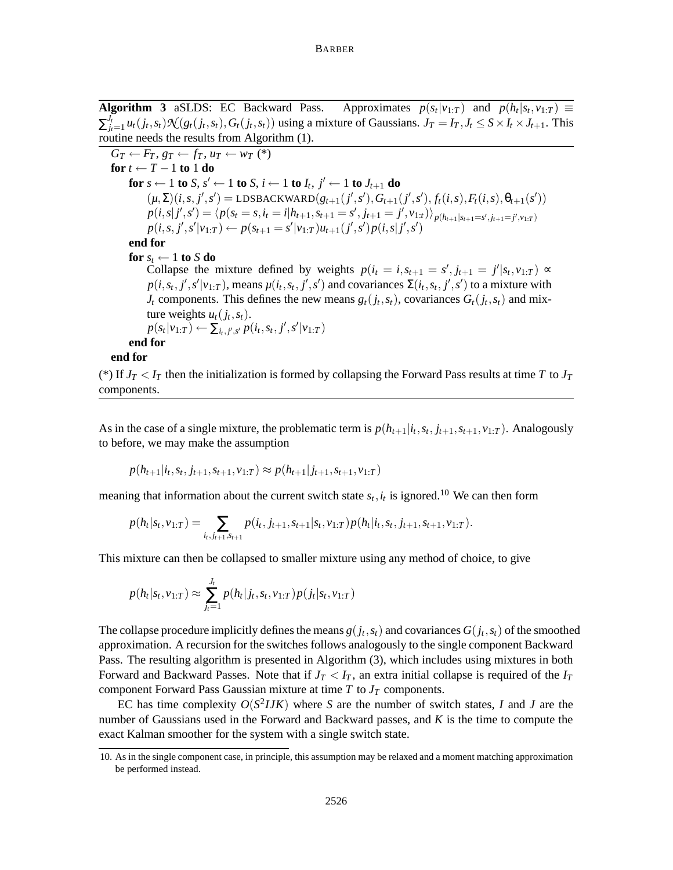**Algorithm 3** aSLDS: EC Backward Pass.  $|v_{1:T})$  and  $p(h_t|s_t, v_{1:T}) \equiv$  $\sum_{l_t}^{J_t}$  $J'_{i,t=1}u_t(j_t,s_t)\mathcal{N}(g_t(j_t,s_t),G_t(j_t,s_t))$  using a mixture of Gaussians.  $J_T = I_T, J_t \leq S \times I_t \times J_{t+1}$ . This routine needs the results from Algorithm (1).

 $G_T \leftarrow F_T, g_T \leftarrow f_T, u_T \leftarrow w_T$  (\*) **for**  $t \leftarrow T - 1$  **to** 1 **do for**  $s \leftarrow 1$  **to**  $S$ ,  $s' \leftarrow 1$  **to**  $S$ ,  $i \leftarrow 1$  **to**  $I_t$ ,  $j' \leftarrow 1$  **to**  $J_{t+1}$  **do**  $(\mu, \Sigma)(i, s, j', s') = \text{LDSBACKWARD}(g_{t+1}(j', s'), G_{t+1}(j', s'), f_t(i, s), F_t(i, s), \theta_{t+1}(s'))$  $p(i, s|j', s') = \langle p(s_t = s, i_t = i | h_{t+1}, s_{t+1} = s', j_{t+1} = j', v_{1:t}) \rangle_{p(h_{t+1}|s_{t+1} = s', j_{t+1} = j', v_{1:T})}$  $p(i, s, j', s'|v_{1:T}) \leftarrow p(s_{t+1} = s'|v_{1:T})u_{t+1}(j', s')p(i, s|j', s')$ **end for for**  $s_t \leftarrow 1$  **to**  $S$  **do** Collapse the mixture defined by weights  $p(i_t = i, s_{t+1} = s', j_{t+1} = j'|s_t, v_{1:T}) \propto$  $p(i, s_t, j', s'|v_{1:T})$ , means  $\mu(i_t, s_t, j', s')$  and covariances  $\Sigma(i_t, s_t, j', s')$  to a mixture with *J*<sup>*t*</sup> components. This defines the new means  $g_t(j_t, s_t)$ , covariances  $G_t(j_t, s_t)$  and mixture weights  $u_t(j_t, s_t)$ .  $p(s_t|v_{1:T}) \leftarrow \sum_{i_t,j',s'} p(i_t,s_t,j',s'|v_{1:T})$ **end for end for** (\*) If  $J_T < I_T$  then the initialization is formed by collapsing the Forward Pass results at time *T* to  $J_T$ 

components.

As in the case of a single mixture, the problematic term is  $p(h_{t+1}|i_t, s_t, j_{t+1}, s_{t+1}, v_{1:T})$ . Analogously to before, we may make the assumption

$$
p(h_{t+1}|i_t,s_t,j_{t+1},s_{t+1},v_{1:T}) \approx p(h_{t+1}|j_{t+1},s_{t+1},v_{1:T})
$$

meaning that information about the current switch state  $s_t$ ,  $i_t$  is ignored.<sup>10</sup> We can then form

$$
p(h_t|s_t, v_{1:T}) = \sum_{i_t, j_{t+1}, s_{t+1}} p(i_t, j_{t+1}, s_{t+1}|s_t, v_{1:T}) p(h_t|i_t, s_t, j_{t+1}, s_{t+1}, v_{1:T}).
$$

This mixture can then be collapsed to smaller mixture using any method of choice, to give

$$
p(h_t|s_t, v_{1:T}) \approx \sum_{j_t=1}^{J_t} p(h_t|j_t, s_t, v_{1:T}) p(j_t|s_t, v_{1:T})
$$

The collapse procedure implicitly defines the means  $g(j_t, s_t)$  and covariances  $G(j_t, s_t)$  of the smoothed approximation. A recursion for the switches follows analogously to the single component Backward Pass. The resulting algorithm is presented in Algorithm (3), which includes using mixtures in both Forward and Backward Passes. Note that if  $J_T < I_T$ , an extra initial collapse is required of the  $I_T$ component Forward Pass Gaussian mixture at time  $T$  to  $J_T$  components.

EC has time complexity  $O(S^2 IJK)$  where *S* are the number of switch states, *I* and *J* are the number of Gaussians used in the Forward and Backward passes, and *K* is the time to compute the exact Kalman smoother for the system with a single switch state.

<sup>10.</sup> As in the single component case, in principle, this assumption may be relaxed and a moment matching approximation be performed instead.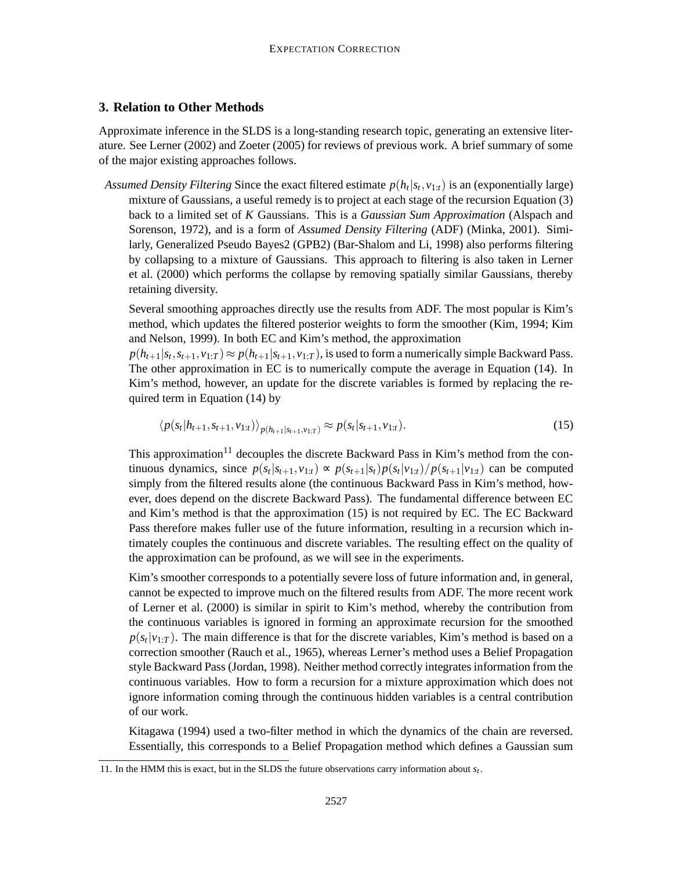# **3. Relation to Other Methods**

Approximate inference in the SLDS is a long-standing research topic, generating an extensive literature. See Lerner (2002) and Zoeter (2005) for reviews of previous work. A brief summary of some of the major existing approaches follows.

*Assumed Density Filtering* Since the exact filtered estimate *p*(*h<sup>t</sup>* |*st* , *v*1:*t*) is an (exponentially large) mixture of Gaussians, a useful remedy is to project at each stage of the recursion Equation (3) back to a limited set of *K* Gaussians. This is a *Gaussian Sum Approximation* (Alspach and Sorenson, 1972), and is a form of *Assumed Density Filtering* (ADF) (Minka, 2001). Similarly, Generalized Pseudo Bayes2 (GPB2) (Bar-Shalom and Li, 1998) also performs filtering by collapsing to a mixture of Gaussians. This approach to filtering is also taken in Lerner et al. (2000) which performs the collapse by removing spatially similar Gaussians, thereby retaining diversity.

Several smoothing approaches directly use the results from ADF. The most popular is Kim's method, which updates the filtered posterior weights to form the smoother (Kim, 1994; Kim and Nelson, 1999). In both EC and Kim's method, the approximation

 $p(h_{t+1}|s_t, s_{t+1}, v_{1:T}) \approx p(h_{t+1}|s_{t+1}, v_{1:T})$ , is used to form a numerically simple Backward Pass. The other approximation in EC is to numerically compute the average in Equation (14). In Kim's method, however, an update for the discrete variables is formed by replacing the required term in Equation (14) by

$$
\langle p(s_t | h_{t+1}, s_{t+1}, v_{1:t}) \rangle_{p(h_{t+1} | s_{t+1}, v_{1:T})} \approx p(s_t | s_{t+1}, v_{1:t}). \tag{15}
$$

This approximation<sup>11</sup> decouples the discrete Backward Pass in Kim's method from the continuous dynamics, since  $p(s_t|s_{t+1}, v_{1:t}) \propto p(s_{t+1}|s_t)p(s_t|v_{1:t})/p(s_{t+1}|v_{1:t})$  can be computed simply from the filtered results alone (the continuous Backward Pass in Kim's method, however, does depend on the discrete Backward Pass). The fundamental difference between EC and Kim's method is that the approximation (15) is not required by EC. The EC Backward Pass therefore makes fuller use of the future information, resulting in a recursion which intimately couples the continuous and discrete variables. The resulting effect on the quality of the approximation can be profound, as we will see in the experiments.

Kim's smoother corresponds to a potentially severe loss of future information and, in general, cannot be expected to improve much on the filtered results from ADF. The more recent work of Lerner et al. (2000) is similar in spirit to Kim's method, whereby the contribution from the continuous variables is ignored in forming an approximate recursion for the smoothed  $p(s_t|v_{1:T})$ . The main difference is that for the discrete variables, Kim's method is based on a correction smoother (Rauch et al., 1965), whereas Lerner's method uses a Belief Propagation style Backward Pass (Jordan, 1998). Neither method correctly integrates information from the continuous variables. How to form a recursion for a mixture approximation which does not ignore information coming through the continuous hidden variables is a central contribution of our work.

Kitagawa (1994) used a two-filter method in which the dynamics of the chain are reversed. Essentially, this corresponds to a Belief Propagation method which defines a Gaussian sum

<sup>11.</sup> In the HMM this is exact, but in the SLDS the future observations carry information about  $s_t$ .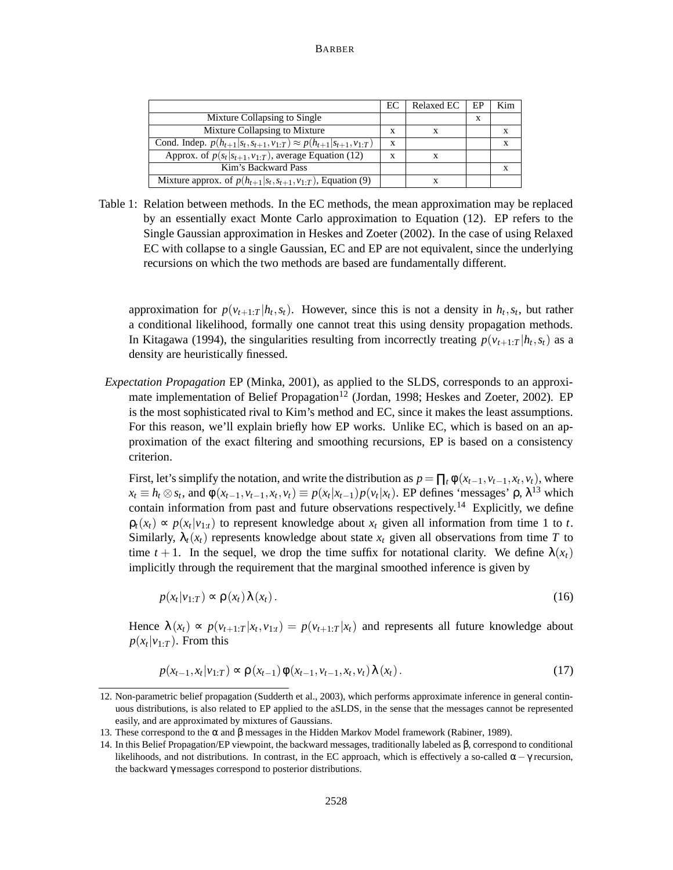|                                                                                     | EC | <b>Relaxed EC</b> | EF | Kim |
|-------------------------------------------------------------------------------------|----|-------------------|----|-----|
| Mixture Collapsing to Single                                                        |    |                   | X  |     |
| Mixture Collapsing to Mixture                                                       | x  | X                 |    | X   |
| Cond. Indep. $p(h_{t+1} s_t, s_{t+1}, v_{1:T}) \approx p(h_{t+1} s_{t+1}, v_{1:T})$ | X  |                   |    |     |
| Approx. of $p(s_t s_{t+1}, v_{1:T})$ , average Equation (12)                        | x  | X                 |    |     |
| Kim's Backward Pass                                                                 |    |                   |    |     |
| Mixture approx. of $p(h_{t+1} s_t,s_{t+1},v_{1:T})$ , Equation (9)                  |    |                   |    |     |

Table 1: Relation between methods. In the EC methods, the mean approximation may be replaced by an essentially exact Monte Carlo approximation to Equation (12). EP refers to the Single Gaussian approximation in Heskes and Zoeter (2002). In the case of using Relaxed EC with collapse to a single Gaussian, EC and EP are not equivalent, since the underlying recursions on which the two methods are based are fundamentally different.

approximation for  $p(v_{t+1:T} | h_t, s_t)$ . However, since this is not a density in  $h_t, s_t$ , but rather a conditional likelihood, formally one cannot treat this using density propagation methods. In Kitagawa (1994), the singularities resulting from incorrectly treating  $p(v_{t+1:T} | h_t, s_t)$  as a density are heuristically finessed.

*Expectation Propagation* EP (Minka, 2001), as applied to the SLDS, corresponds to an approximate implementation of Belief Propagation<sup>12</sup> (Jordan, 1998; Heskes and Zoeter, 2002). EP is the most sophisticated rival to Kim's method and EC, since it makes the least assumptions. For this reason, we'll explain briefly how EP works. Unlike EC, which is based on an approximation of the exact filtering and smoothing recursions, EP is based on a consistency criterion.

First, let's simplify the notation, and write the distribution as  $p = \prod_t \phi(x_{t-1}, v_{t-1}, x_t, v_t)$ , where  $x_t \equiv h_t \otimes s_t$ , and  $\phi(x_{t-1}, v_{t-1}, x_t, v_t) \equiv p(x_t | x_{t-1}) p(v_t | x_t)$ . EP defines 'messages'  $\rho$ ,  $\lambda^{13}$  which contain information from past and future observations respectively.<sup>14</sup> Explicitly, we define  $\rho_t(x_t) \propto p(x_t|v_{1:t})$  to represent knowledge about  $x_t$  given all information from time 1 to *t*. Similarly,  $\lambda_t(x_t)$  represents knowledge about state  $x_t$  given all observations from time *T* to time  $t + 1$ . In the sequel, we drop the time suffix for notational clarity. We define  $\lambda(x_t)$ implicitly through the requirement that the marginal smoothed inference is given by

$$
p(x_t|v_{1:T}) \propto \rho(x_t) \lambda(x_t).
$$
 (16)

Hence  $\lambda(x_t) \propto p(v_{t+1:T} | x_t, v_{1:t}) = p(v_{t+1:T} | x_t)$  and represents all future knowledge about  $p(x_t|v_{1:T})$ . From this

$$
p(x_{t-1}, x_t | v_{1:T}) \propto \rho(x_{t-1}) \phi(x_{t-1}, v_{t-1}, x_t, v_t) \lambda(x_t).
$$
 (17)

<sup>12.</sup> Non-parametric belief propagation (Sudderth et al., 2003), which performs approximate inference in general continuous distributions, is also related to EP applied to the aSLDS, in the sense that the messages cannot be represented easily, and are approximated by mixtures of Gaussians.

<sup>13.</sup> These correspond to the α and β messages in the Hidden Markov Model framework (Rabiner, 1989).

<sup>14.</sup> In this Belief Propagation/EP viewpoint, the backward messages, traditionally labeled as β, correspond to conditional likelihoods, and not distributions. In contrast, in the EC approach, which is effectively a so-called  $\alpha - \gamma$  recursion, the backward γ messages correspond to posterior distributions.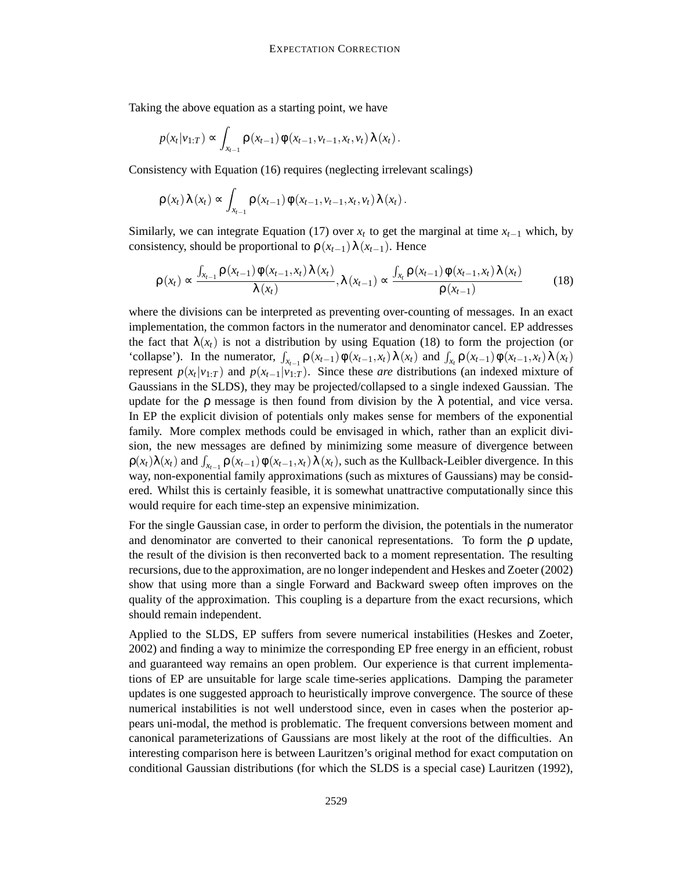Taking the above equation as a starting point, we have

$$
p(x_t|v_{1:T}) \propto \int_{x_{t-1}} \rho(x_{t-1}) \phi(x_{t-1}, v_{t-1}, x_t, v_t) \lambda(x_t).
$$

Consistency with Equation (16) requires (neglecting irrelevant scalings)

$$
\rho(x_t)\lambda(x_t) \propto \int_{x_{t-1}} \rho(x_{t-1})\phi(x_{t-1},v_{t-1},x_t,v_t)\lambda(x_t).
$$

Similarly, we can integrate Equation (17) over  $x_t$  to get the marginal at time  $x_{t-1}$  which, by consistency, should be proportional to  $\rho(x_{t-1})\lambda(x_{t-1})$ . Hence

$$
\rho(x_t) \propto \frac{\int_{x_{t-1}} \rho(x_{t-1}) \phi(x_{t-1}, x_t) \lambda(x_t)}{\lambda(x_t)}, \lambda(x_{t-1}) \propto \frac{\int_{x_t} \rho(x_{t-1}) \phi(x_{t-1}, x_t) \lambda(x_t)}{\rho(x_{t-1})}
$$
(18)

where the divisions can be interpreted as preventing over-counting of messages. In an exact implementation, the common factors in the numerator and denominator cancel. EP addresses the fact that  $\lambda(x_t)$  is not a distribution by using Equation (18) to form the projection (or 'collapse'). In the numerator,  $\int_{x_{t-1}} \rho(x_{t-1}) \phi(x_{t-1}, x_t) \lambda(x_t)$  and  $\int_{x_t} \rho(x_{t-1}) \phi(x_{t-1}, x_t) \lambda(x_t)$ represent  $p(x_t|v_{1:T})$  and  $p(x_{t-1}|v_{1:T})$ . Since these *are* distributions (an indexed mixture of Gaussians in the SLDS), they may be projected/collapsed to a single indexed Gaussian. The update for the  $\rho$  message is then found from division by the  $\lambda$  potential, and vice versa. In EP the explicit division of potentials only makes sense for members of the exponential family. More complex methods could be envisaged in which, rather than an explicit division, the new messages are defined by minimizing some measure of divergence between  $\rho(x_t)\lambda(x_t)$  and  $\int_{x_{t-1}} \rho(x_{t-1})\phi(x_{t-1}, x_t)\lambda(x_t)$ , such as the Kullback-Leibler divergence. In this way, non-exponential family approximations (such as mixtures of Gaussians) may be considered. Whilst this is certainly feasible, it is somewhat unattractive computationally since this would require for each time-step an expensive minimization.

For the single Gaussian case, in order to perform the division, the potentials in the numerator and denominator are converted to their canonical representations. To form the  $\rho$  update, the result of the division is then reconverted back to a moment representation. The resulting recursions, due to the approximation, are no longer independent and Heskes and Zoeter (2002) show that using more than a single Forward and Backward sweep often improves on the quality of the approximation. This coupling is a departure from the exact recursions, which should remain independent.

Applied to the SLDS, EP suffers from severe numerical instabilities (Heskes and Zoeter, 2002) and finding a way to minimize the corresponding EP free energy in an efficient, robust and guaranteed way remains an open problem. Our experience is that current implementations of EP are unsuitable for large scale time-series applications. Damping the parameter updates is one suggested approach to heuristically improve convergence. The source of these numerical instabilities is not well understood since, even in cases when the posterior appears uni-modal, the method is problematic. The frequent conversions between moment and canonical parameterizations of Gaussians are most likely at the root of the difficulties. An interesting comparison here is between Lauritzen's original method for exact computation on conditional Gaussian distributions (for which the SLDS is a special case) Lauritzen (1992),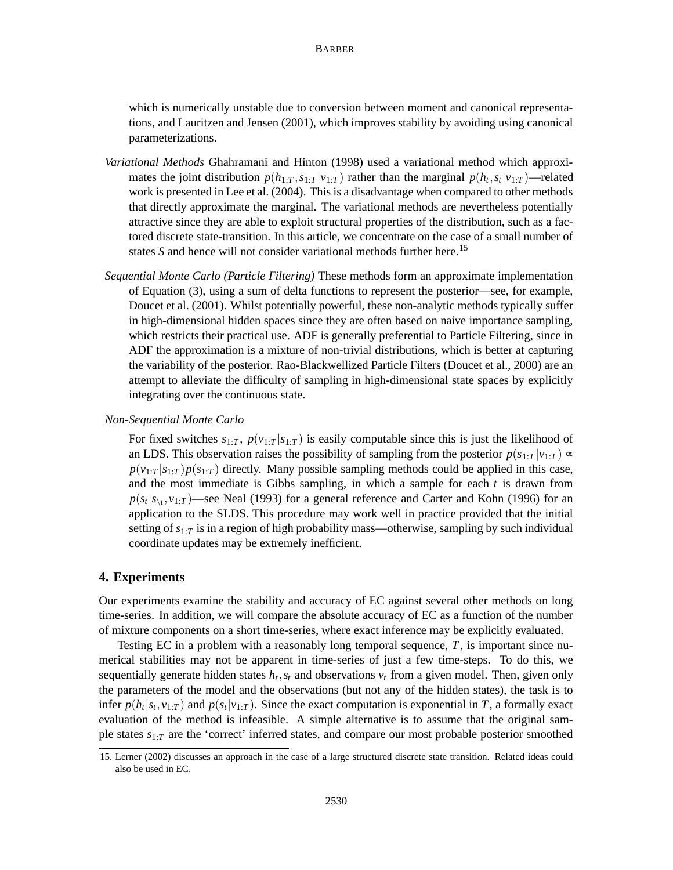which is numerically unstable due to conversion between moment and canonical representations, and Lauritzen and Jensen (2001), which improves stability by avoiding using canonical parameterizations.

- *Variational Methods* Ghahramani and Hinton (1998) used a variational method which approximates the joint distribution  $p(h_{1:T}, s_{1:T} | v_{1:T})$  rather than the marginal  $p(h_t, s_t | v_{1:T})$ —related work is presented in Lee et al. (2004). This is a disadvantage when compared to other methods that directly approximate the marginal. The variational methods are nevertheless potentially attractive since they are able to exploit structural properties of the distribution, such as a factored discrete state-transition. In this article, we concentrate on the case of a small number of states *S* and hence will not consider variational methods further here.<sup>15</sup>
- *Sequential Monte Carlo (Particle Filtering)* These methods form an approximate implementation of Equation (3), using a sum of delta functions to represent the posterior—see, for example, Doucet et al. (2001). Whilst potentially powerful, these non-analytic methods typically suffer in high-dimensional hidden spaces since they are often based on naive importance sampling, which restricts their practical use. ADF is generally preferential to Particle Filtering, since in ADF the approximation is a mixture of non-trivial distributions, which is better at capturing the variability of the posterior. Rao-Blackwellized Particle Filters (Doucet et al., 2000) are an attempt to alleviate the difficulty of sampling in high-dimensional state spaces by explicitly integrating over the continuous state.

*Non-Sequential Monte Carlo*

For fixed switches  $s_{1:T}$ ,  $p(v_{1:T}|s_{1:T})$  is easily computable since this is just the likelihood of an LDS. This observation raises the possibility of sampling from the posterior  $p(s_1 \cdot r | v_1 \cdot r) \propto$  $p(v_1:|\mathbf{s}_{1:T})p(\mathbf{s}_{1:T})$  directly. Many possible sampling methods could be applied in this case, and the most immediate is Gibbs sampling, in which a sample for each  $t$  is drawn from  $p(s_t|s_{\backslash t}, v_{1:T})$ —see Neal (1993) for a general reference and Carter and Kohn (1996) for an application to the SLDS. This procedure may work well in practice provided that the initial setting of  $s_{1:T}$  is in a region of high probability mass—otherwise, sampling by such individual coordinate updates may be extremely inefficient.

# **4. Experiments**

Our experiments examine the stability and accuracy of EC against several other methods on long time-series. In addition, we will compare the absolute accuracy of EC as a function of the number of mixture components on a short time-series, where exact inference may be explicitly evaluated.

Testing EC in a problem with a reasonably long temporal sequence, *T*, is important since numerical stabilities may not be apparent in time-series of just a few time-steps. To do this, we sequentially generate hidden states  $h_t$ ,  $s_t$  and observations  $v_t$  from a given model. Then, given only the parameters of the model and the observations (but not any of the hidden states), the task is to infer  $p(h_t|s_t, v_{1:T})$  and  $p(s_t|v_{1:T})$ . Since the exact computation is exponential in *T*, a formally exact evaluation of the method is infeasible. A simple alternative is to assume that the original sample states *s*1:*<sup>T</sup>* are the 'correct' inferred states, and compare our most probable posterior smoothed

<sup>15.</sup> Lerner (2002) discusses an approach in the case of a large structured discrete state transition. Related ideas could also be used in EC.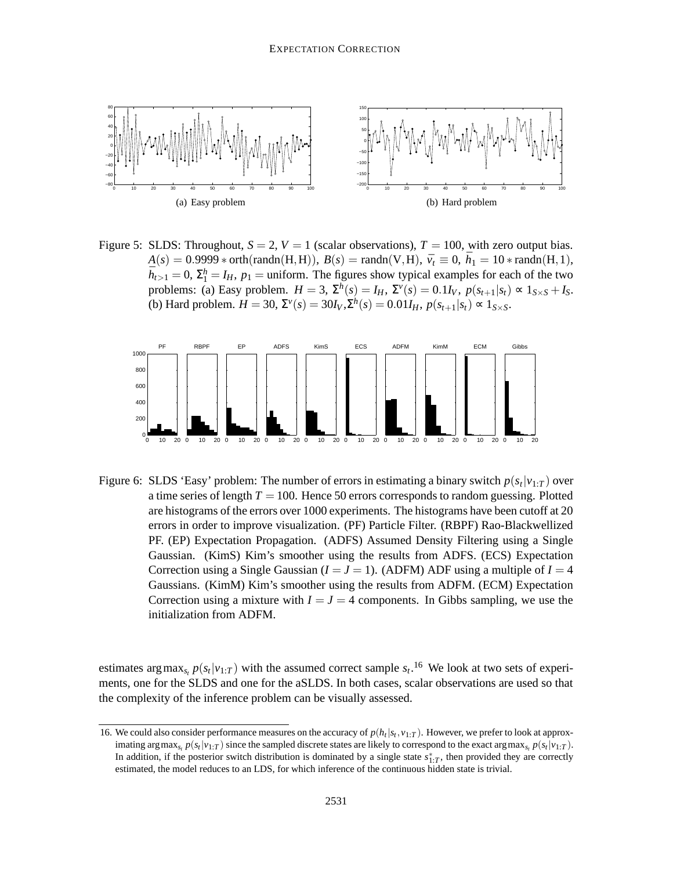

Figure 5: SLDS: Throughout,  $S = 2$ ,  $V = 1$  (scalar observations),  $T = 100$ , with zero output bias.  $A(s) = 0.9999 * \text{orth}(\text{randn}(H, H)), B(s) = \text{randn}(V, H), \ \bar{v}_t \equiv 0, \ \bar{h}_1 = 10 * \text{randn}(H, 1),$  $\bar{h}_{t>1} = 0$ ,  $\Sigma_1^h = I_H$ ,  $p_1$  = uniform. The figures show typical examples for each of the two problems: (a) Easy problem.  $H = 3$ ,  $\Sigma^h(s) = I_H$ ,  $\Sigma^v(s) = 0.1I_V$ ,  $p(s_{t+1}|s_t) \propto 1_{S \times S} + I_S$ . (b) Hard problem.  $H = 30$ ,  $\Sigma^{\nu}(s) = 30I_{V}$ ,  $\Sigma^{h}(s) = 0.01I_{H}$ ,  $p(s_{t+1}|s_{t}) \propto 1_{S \times S}$ .



Figure 6: SLDS 'Easy' problem: The number of errors in estimating a binary switch  $p(s_t|v_{1:T})$  over a time series of length  $T = 100$ . Hence 50 errors corresponds to random guessing. Plotted are histograms of the errors over 1000 experiments. The histograms have been cutoff at 20 errors in order to improve visualization. (PF) Particle Filter. (RBPF) Rao-Blackwellized PF. (EP) Expectation Propagation. (ADFS) Assumed Density Filtering using a Single Gaussian. (KimS) Kim's smoother using the results from ADFS. (ECS) Expectation Correction using a Single Gaussian  $(I = J = 1)$ . (ADFM) ADF using a multiple of  $I = 4$ Gaussians. (KimM) Kim's smoother using the results from ADFM. (ECM) Expectation Correction using a mixture with  $I = J = 4$  components. In Gibbs sampling, we use the initialization from ADFM.

estimates arg max<sub>*s<sub>t</sub>*</sub>  $p(s_t|v_{1:T})$  with the assumed correct sample  $s_t$ .<sup>16</sup> We look at two sets of experiments, one for the SLDS and one for the aSLDS. In both cases, scalar observations are used so that the complexity of the inference problem can be visually assessed.

<sup>16.</sup> We could also consider performance measures on the accuracy of  $p(h_t|s_t, v_{1:T})$ . However, we prefer to look at approximating argmax<sub>*s*</sub></sup>,  $p(s_t|v_{1:T})$  since the sampled discrete states are likely to correspond to the exact argmax<sub>*s*</sub>,  $p(s_t|v_{1:T})$ . In addition, if the posterior switch distribution is dominated by a single state *s* ∗ 1:*T* , then provided they are correctly estimated, the model reduces to an LDS, for which inference of the continuous hidden state is trivial.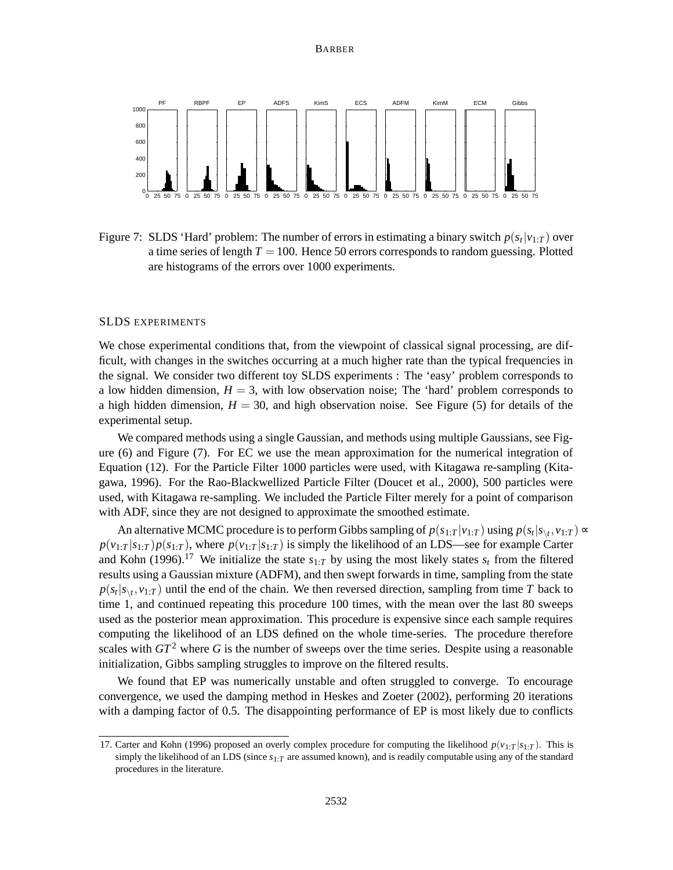#### BARBER



Figure 7: SLDS 'Hard' problem: The number of errors in estimating a binary switch  $p(s_t|v_{1:T})$  over a time series of length  $T = 100$ . Hence 50 errors corresponds to random guessing. Plotted are histograms of the errors over 1000 experiments.

#### SLDS EXPERIMENTS

We chose experimental conditions that, from the viewpoint of classical signal processing, are difficult, with changes in the switches occurring at a much higher rate than the typical frequencies in the signal. We consider two different toy SLDS experiments : The 'easy' problem corresponds to a low hidden dimension,  $H = 3$ , with low observation noise; The 'hard' problem corresponds to a high hidden dimension,  $H = 30$ , and high observation noise. See Figure (5) for details of the experimental setup.

We compared methods using a single Gaussian, and methods using multiple Gaussians, see Figure (6) and Figure (7). For EC we use the mean approximation for the numerical integration of Equation (12). For the Particle Filter 1000 particles were used, with Kitagawa re-sampling (Kitagawa, 1996). For the Rao-Blackwellized Particle Filter (Doucet et al., 2000), 500 particles were used, with Kitagawa re-sampling. We included the Particle Filter merely for a point of comparison with ADF, since they are not designed to approximate the smoothed estimate.

An alternative MCMC procedure is to perform Gibbs sampling of  $p(s_{1:T} | v_{1:T})$  using  $p(s_t | s_{\setminus t}, v_{1:T}) \propto$  $p(v_{1:T}|s_{1:T})p(s_{1:T})$ , where  $p(v_{1:T}|s_{1:T})$  is simply the likelihood of an LDS—see for example Carter and Kohn (1996).<sup>17</sup> We initialize the state  $s_{1:T}$  by using the most likely states  $s_t$  from the filtered results using a Gaussian mixture (ADFM), and then swept forwards in time, sampling from the state  $p(s_t|s_{\backslash t}, v_{1:T})$  until the end of the chain. We then reversed direction, sampling from time *T* back to time 1, and continued repeating this procedure 100 times, with the mean over the last 80 sweeps used as the posterior mean approximation. This procedure is expensive since each sample requires computing the likelihood of an LDS defined on the whole time-series. The procedure therefore scales with  $GT^2$  where G is the number of sweeps over the time series. Despite using a reasonable initialization, Gibbs sampling struggles to improve on the filtered results.

We found that EP was numerically unstable and often struggled to converge. To encourage convergence, we used the damping method in Heskes and Zoeter (2002), performing 20 iterations with a damping factor of 0.5. The disappointing performance of EP is most likely due to conflicts

<sup>17.</sup> Carter and Kohn (1996) proposed an overly complex procedure for computing the likelihood  $p(y_1 \cdot r | s_1 \cdot r)$ . This is simply the likelihood of an LDS (since *s*1:*<sup>T</sup>* are assumed known), and is readily computable using any of the standard procedures in the literature.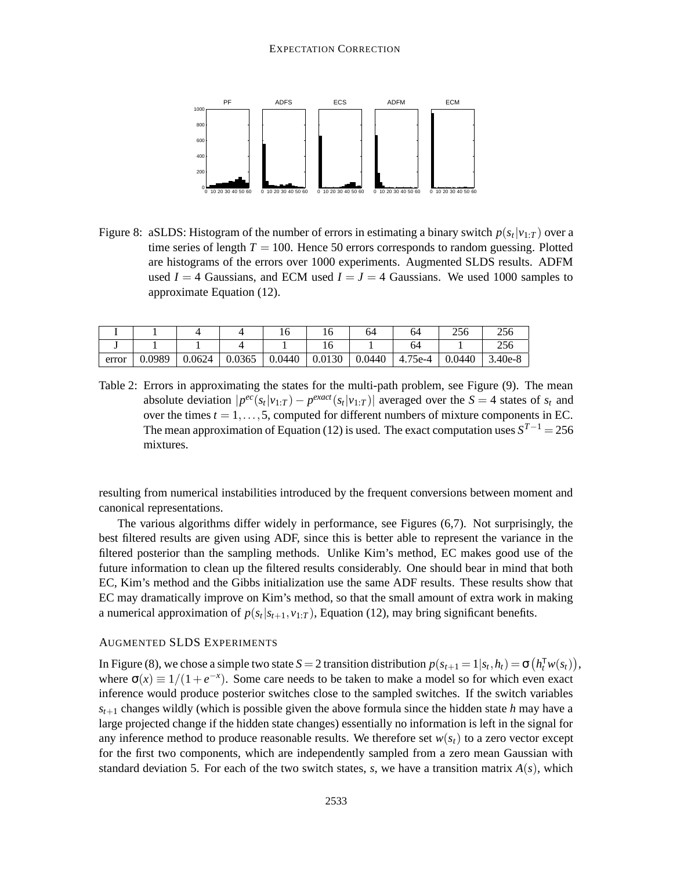

Figure 8: aSLDS: Histogram of the number of errors in estimating a binary switch  $p(s_t|v_{1:T})$  over a time series of length  $T = 100$ . Hence 50 errors corresponds to random guessing. Plotted are histograms of the errors over 1000 experiments. Augmented SLDS results. ADFM used  $I = 4$  Gaussians, and ECM used  $I = J = 4$  Gaussians. We used 1000 samples to approximate Equation (12).

|       |        |        |        |        |        | 64     | 64      | 256    | つちん       |
|-------|--------|--------|--------|--------|--------|--------|---------|--------|-----------|
|       |        |        |        |        |        |        |         |        | つこん       |
| error | 0.0989 | 0.0624 | 0.0365 | 0.0440 | 0.0130 | 0.0440 | 4.75e-4 | 0.0440 | $3.40e-8$ |

Table 2: Errors in approximating the states for the multi-path problem, see Figure (9). The mean absolute deviation  $|p^{ec}(s_t|v_{1:T}) - p^{exact}(s_t|v_{1:T})|$  averaged over the  $S = 4$  states of  $s_t$  and over the times  $t = 1, \ldots, 5$ , computed for different numbers of mixture components in EC. The mean approximation of Equation (12) is used. The exact computation uses *S <sup>T</sup>*−<sup>1</sup> = 256 mixtures.

resulting from numerical instabilities introduced by the frequent conversions between moment and canonical representations.

The various algorithms differ widely in performance, see Figures (6,7). Not surprisingly, the best filtered results are given using ADF, since this is better able to represent the variance in the filtered posterior than the sampling methods. Unlike Kim's method, EC makes good use of the future information to clean up the filtered results considerably. One should bear in mind that both EC, Kim's method and the Gibbs initialization use the same ADF results. These results show that EC may dramatically improve on Kim's method, so that the small amount of extra work in making a numerical approximation of  $p(s_t|s_{t+1}, v_{1:T})$ , Equation (12), may bring significant benefits.

# AUGMENTED SLDS EXPERIMENTS

In Figure (8), we chose a simple two state  $S = 2$  transition distribution  $p(s_{t+1} = 1 | s_t, h_t) = \sigma(h_t^T w(s_t)),$ where  $\sigma(x) \equiv 1/(1+e^{-x})$ . Some care needs to be taken to make a model so for which even exact inference would produce posterior switches close to the sampled switches. If the switch variables  $s_{t+1}$  changes wildly (which is possible given the above formula since the hidden state *h* may have a large projected change if the hidden state changes) essentially no information is left in the signal for any inference method to produce reasonable results. We therefore set  $w(s_t)$  to a zero vector except for the first two components, which are independently sampled from a zero mean Gaussian with standard deviation 5. For each of the two switch states, *s*, we have a transition matrix  $A(s)$ , which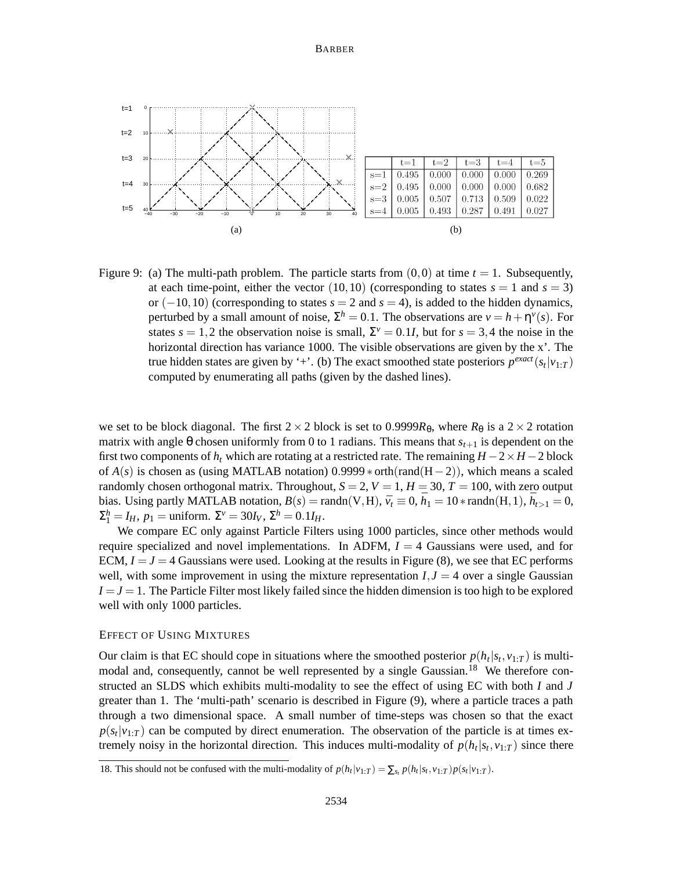#### BARBER



Figure 9: (a) The multi-path problem. The particle starts from  $(0,0)$  at time  $t = 1$ . Subsequently, at each time-point, either the vector  $(10, 10)$  (corresponding to states  $s = 1$  and  $s = 3$ ) or  $(-10,10)$  (corresponding to states  $s = 2$  and  $s = 4$ ), is added to the hidden dynamics, perturbed by a small amount of noise,  $\Sigma^h = 0.1$ . The observations are  $v = h + \eta^{\nu}(s)$ . For states  $s = 1, 2$  the observation noise is small,  $\Sigma^{\nu} = 0.1I$ , but for  $s = 3, 4$  the noise in the horizontal direction has variance 1000. The visible observations are given by the x'. The true hidden states are given by '+'. (b) The exact smoothed state posteriors  $p^{exact}(s_t|v_{1:T})$ computed by enumerating all paths (given by the dashed lines).

we set to be block diagonal. The first  $2 \times 2$  block is set to 0.9999 $R_{\theta}$ , where  $R_{\theta}$  is a  $2 \times 2$  rotation matrix with angle  $\theta$  chosen uniformly from 0 to 1 radians. This means that  $s_{t+1}$  is dependent on the first two components of  $h_t$  which are rotating at a restricted rate. The remaining  $H - 2 \times H - 2$  block of  $A(s)$  is chosen as (using MATLAB notation) 0.9999  $*$  orth(rand(H-2)), which means a scaled randomly chosen orthogonal matrix. Throughout,  $S = 2$ ,  $V = 1$ ,  $H = 30$ ,  $T = 100$ , with zero output bias. Using partly MATLAB notation,  $B(s) = \text{randn}(V, H)$ ,  $\bar{v}_t \equiv 0$ ,  $\bar{h}_1 = 10 * \text{randn}(H, 1)$ ,  $\bar{h}_{t>1} = 0$ ,  $\Sigma_1^h = I_H$ ,  $p_1 = \text{uniform.}$   $\Sigma^v = 30I_V$ ,  $\Sigma^h = 0.1I_H$ .

We compare EC only against Particle Filters using 1000 particles, since other methods would require specialized and novel implementations. In ADFM,  $I = 4$  Gaussians were used, and for ECM,  $I = J = 4$  Gaussians were used. Looking at the results in Figure (8), we see that EC performs well, with some improvement in using the mixture representation  $I, J = 4$  over a single Gaussian  $I = J = 1$ . The Particle Filter most likely failed since the hidden dimension is too high to be explored well with only 1000 particles.

#### EFFECT OF USING MIXTURES

Our claim is that EC should cope in situations where the smoothed posterior  $p(h_t|s_t, v_{1:T})$  is multimodal and, consequently, cannot be well represented by a single Gaussian.<sup>18</sup> We therefore constructed an SLDS which exhibits multi-modality to see the effect of using EC with both *I* and *J* greater than 1. The 'multi-path' scenario is described in Figure (9), where a particle traces a path through a two dimensional space. A small number of time-steps was chosen so that the exact  $p(s_t|v_{1:T})$  can be computed by direct enumeration. The observation of the particle is at times extremely noisy in the horizontal direction. This induces multi-modality of  $p(h_t|s_t, v_{1:T})$  since there

<sup>18.</sup> This should not be confused with the multi-modality of  $p(h_t|v_{1:T}) = \sum_{s_t} p(h_t|s_t, v_{1:T}) p(s_t|v_{1:T})$ .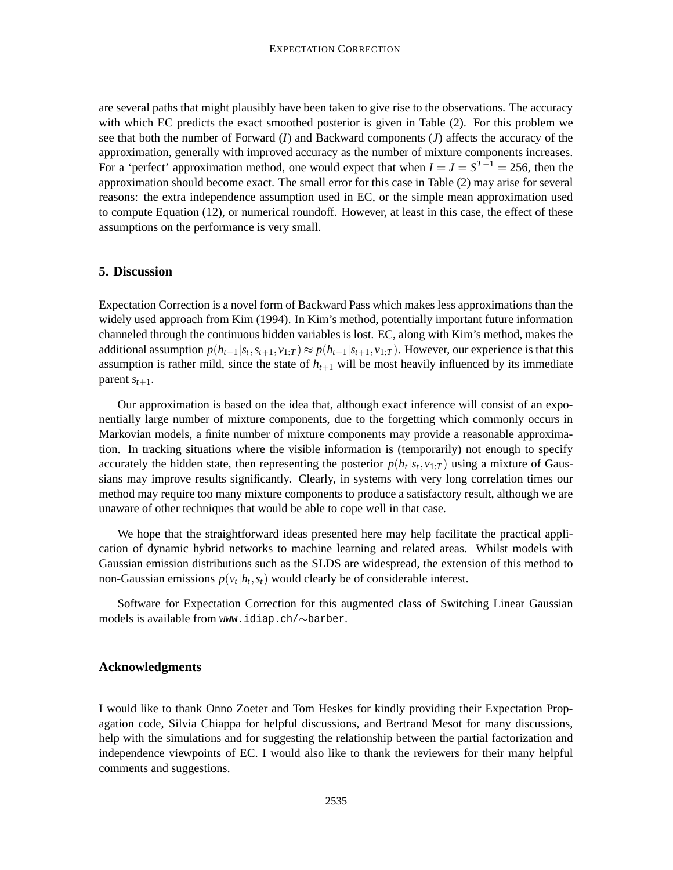are several paths that might plausibly have been taken to give rise to the observations. The accuracy with which EC predicts the exact smoothed posterior is given in Table (2). For this problem we see that both the number of Forward (*I*) and Backward components (*J*) affects the accuracy of the approximation, generally with improved accuracy as the number of mixture components increases. For a 'perfect' approximation method, one would expect that when  $I = J = S^{T-1} = 256$ , then the approximation should become exact. The small error for this case in Table (2) may arise for several reasons: the extra independence assumption used in EC, or the simple mean approximation used to compute Equation (12), or numerical roundoff. However, at least in this case, the effect of these assumptions on the performance is very small.

# **5. Discussion**

Expectation Correction is a novel form of Backward Pass which makes less approximations than the widely used approach from Kim (1994). In Kim's method, potentially important future information channeled through the continuous hidden variables is lost. EC, along with Kim's method, makes the additional assumption  $p(h_{t+1}|s_t, s_{t+1}, v_{1:T}) \approx p(h_{t+1}|s_{t+1}, v_{1:T})$ . However, our experience is that this assumption is rather mild, since the state of  $h_{t+1}$  will be most heavily influenced by its immediate parent  $s_{t+1}$ .

Our approximation is based on the idea that, although exact inference will consist of an exponentially large number of mixture components, due to the forgetting which commonly occurs in Markovian models, a finite number of mixture components may provide a reasonable approximation. In tracking situations where the visible information is (temporarily) not enough to specify accurately the hidden state, then representing the posterior  $p(h_t|s_t, v_{1:T})$  using a mixture of Gaussians may improve results significantly. Clearly, in systems with very long correlation times our method may require too many mixture components to produce a satisfactory result, although we are unaware of other techniques that would be able to cope well in that case.

We hope that the straightforward ideas presented here may help facilitate the practical application of dynamic hybrid networks to machine learning and related areas. Whilst models with Gaussian emission distributions such as the SLDS are widespread, the extension of this method to non-Gaussian emissions  $p(v_t | h_t, s_t)$  would clearly be of considerable interest.

Software for Expectation Correction for this augmented class of Switching Linear Gaussian models is available from www.idiap.ch/∼barber.

# **Acknowledgments**

I would like to thank Onno Zoeter and Tom Heskes for kindly providing their Expectation Propagation code, Silvia Chiappa for helpful discussions, and Bertrand Mesot for many discussions, help with the simulations and for suggesting the relationship between the partial factorization and independence viewpoints of EC. I would also like to thank the reviewers for their many helpful comments and suggestions.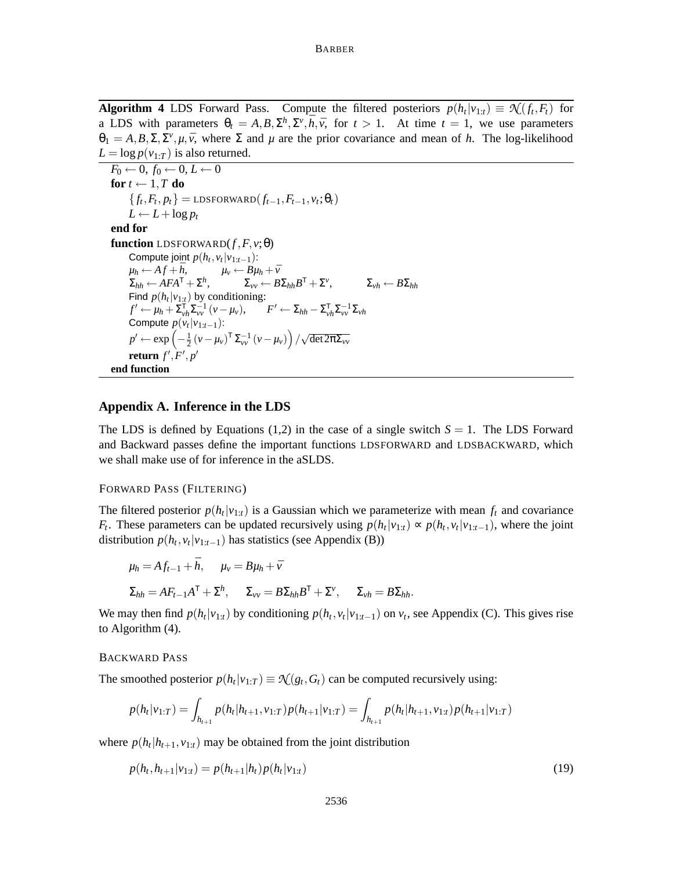**Algorithm 4** LDS Forward Pass. Compute the filtered posteriors  $p(h_t|v_{1:t}) \equiv \mathcal{N}(f_t, F_t)$  for a LDS with parameters  $\theta_t = A, B, \Sigma^h, \Sigma^v, \bar{h}, \bar{v}$ , for  $t > 1$ . At time  $t = 1$ , we use parameters  $\theta_1 = A, B, \Sigma, \Sigma^{\nu}, \mu, \bar{\nu}$ , where  $\Sigma$  and  $\mu$  are the prior covariance and mean of *h*. The log-likelihood  $L = \log p(v_{1:T})$  is also returned.

 $F_0 \leftarrow 0, f_0 \leftarrow 0, L \leftarrow 0$ **for**  $t \leftarrow 1, T$  **do**  ${f_t, F_t, p_t}$  = LDSFORWARD $(f_{t-1}, F_{t-1}, v_t; \theta_t)$  $L \leftarrow L + \log p_t$ **end for function** LDSFORWARD $(f, F, v; \theta)$ Compute joint  $p(h_t, v_t | v_{1:t-1})$ :  $\mu_h \leftarrow Af + \bar{h}, \qquad \mu_v \leftarrow B\mu_h + \bar{v}$  $\Sigma_{hh} \leftarrow AFA^{\mathsf{T}} + \Sigma^h, \qquad \qquad \Sigma_{vv} \leftarrow B\Sigma_{hh}B$  $\tau + \Sigma^{\nu}$  $\Sigma_{vh} \leftarrow B \Sigma_{hh}$ Find  $p(h_t|v_{1:t})$  by conditioning:  $f' \leftarrow \mu_h + \sum_{\nu h}^{\mathsf{T}} \sum_{\nu \nu}^{-1} (v - \mu_{\nu}), \qquad F' \leftarrow \sum_{hh} - \sum_{\nu h}^{\mathsf{T}} \sum_{\nu \nu}^{-1} \sum_{\nu h}$ Compute  $p(v_t|v_{1:t-1})$ :  $p' \leftarrow \exp\left(-\frac{1}{2}\left(\nu-\mu_{\nu}\right)^{\mathsf{T}}\Sigma_{\nu\nu}^{-1}\left(\nu-\mu_{\nu}\right)\right)/\sqrt{\det 2\pi \Sigma_{\nu\nu}}$  ${\bf return} \ f^{\prime},F^{\prime},p^{\prime}$ **end function**

# **Appendix A. Inference in the LDS**

The LDS is defined by Equations (1,2) in the case of a single switch  $S = 1$ . The LDS Forward and Backward passes define the important functions LDSFORWARD and LDSBACKWARD, which we shall make use of for inference in the aSLDS.

# FORWARD PASS (FILTERING)

The filtered posterior  $p(h_t|v_{1:t})$  is a Gaussian which we parameterize with mean  $f_t$  and covariance *F*<sub>t</sub>. These parameters can be updated recursively using  $p(h_t|v_{1:t}) \propto p(h_t, v_t|v_{1:t-1})$ , where the joint distribution  $p(h_t, v_t | v_{1:t-1})$  has statistics (see Appendix (B))

$$
\mu_h = Af_{t-1} + \bar{h}, \quad \mu_v = B\mu_h + \bar{v}
$$
  

$$
\Sigma_{hh} = AF_{t-1}A^{\mathsf{T}} + \Sigma^h, \quad \Sigma_{vv} = B\Sigma_{hh}B^{\mathsf{T}} + \Sigma^v, \quad \Sigma_{vh} = B\Sigma_{hh}.
$$

We may then find  $p(h_t|v_{1:t})$  by conditioning  $p(h_t, v_t|v_{1:t-1})$  on  $v_t$ , see Appendix (C). This gives rise to Algorithm (4).

# BACKWARD PASS

The smoothed posterior  $p(h_t|v_{1:T}) \equiv \mathcal{N}(g_t, G_t)$  can be computed recursively using:

$$
p(h_t|v_{1:T}) = \int_{h_{t+1}} p(h_t|h_{t+1}, v_{1:T}) p(h_{t+1}|v_{1:T}) = \int_{h_{t+1}} p(h_t|h_{t+1}, v_{1:T}) p(h_{t+1}|v_{1:T})
$$

where  $p(h_t | h_{t+1}, v_{1:t})$  may be obtained from the joint distribution

$$
p(h_t, h_{t+1} | \nu_{1:t}) = p(h_{t+1} | h_t) p(h_t | \nu_{1:t})
$$
\n(19)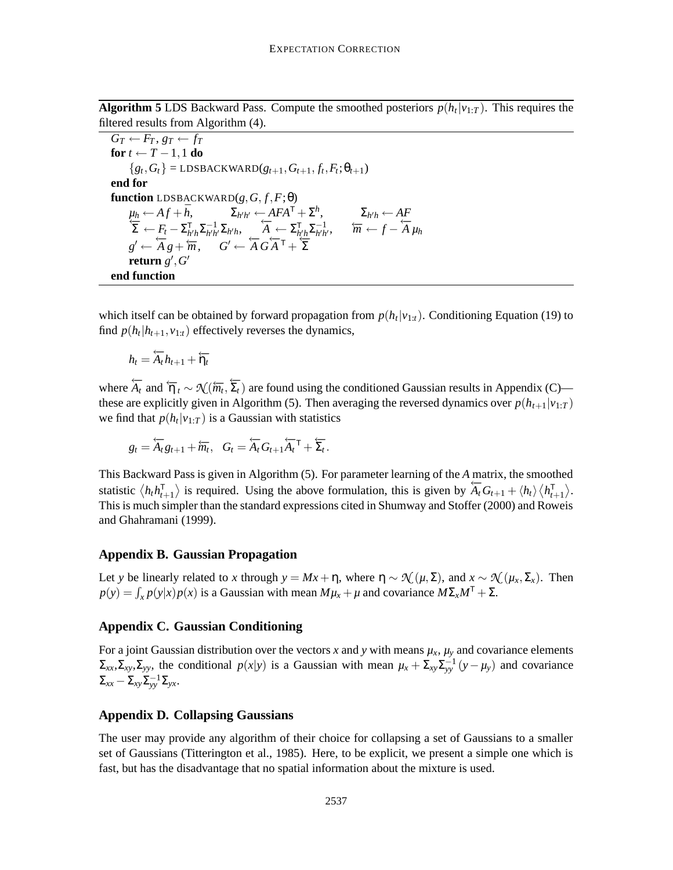**Algorithm 5** LDS Backward Pass. Compute the smoothed posteriors  $p(h_t|v_{1:T})$ . This requires the filtered results from Algorithm (4).

 $G_T \leftarrow F_T, g_T \leftarrow f_T$ **for**  $t \leftarrow T - 1, 1$  **do**  ${g_t, G_t}$  = LDSBACKWARD( $g_{t+1}, G_{t+1}, f_t, F_t; \theta_{t+1}$ ) **end for function** LDSBACKWARD $(g, G, f, F; \theta)$  $\mu_h \leftarrow Af + \bar{h}, \quad \Sigma_{h'h'} \leftarrow AFA^{\mathsf{T}} + \Sigma^h, \quad \Sigma_{h'h} \leftarrow AF \over \Sigma \leftarrow F_t - \Sigma_{h'h}^{\mathsf{T}} \Sigma_{h'h}^{-1} \Sigma_{h'h}, \quad \overbrace{A} \leftarrow \Sigma_{h'h}^{\mathsf{T}} \Sigma_{h'h'}^{-1}, \quad \overbrace{m} \leftarrow f - \overbrace{A}^{\mathsf{T}} \mu_h$  $g' \leftarrow \overleftarrow{A} g + \overleftarrow{m}, \quad G' \leftarrow \overleftarrow{A} G \overleftarrow{A}^\mathsf{T} + \overleftarrow{\Sigma}$  ${\bf return}\,\, g',G'$ **end function**

which itself can be obtained by forward propagation from  $p(h_t|v_{1:t})$ . Conditioning Equation (19) to find  $p(h_t | h_{t+1}, v_{1:t})$  effectively reverses the dynamics,

$$
h_t = \overleftarrow{A_t} h_{t+1} + \overleftarrow{\eta_t}
$$

where  $\overleftarrow{A_t}$  and  $\overleftarrow{\eta}_t \sim \mathcal{N}(\overleftarrow{m_t}, \overleftarrow{\Sigma_t})$  are found using the conditioned Gaussian results in Appendix (C) these are explicitly given in Algorithm (5). Then averaging the reversed dynamics over  $p(h_{t+1}|v_{1:T})$ we find that  $p(h_t|v_{1:T})$  is a Gaussian with statistics

$$
g_t = \overleftarrow{A_t} g_{t+1} + \overleftarrow{m_t}, \quad G_t = \overleftarrow{A_t} G_{t+1} \overleftarrow{A_t}^\mathsf{T} + \overleftarrow{\Sigma_t}.
$$

This Backward Pass is given in Algorithm (5). For parameter learning of the *A* matrix, the smoothed statistic  $\langle h_t h_{t+1}^{\mathsf{T}} \rangle$  is required. Using the above formulation, this is given by  $\overleftarrow{A}_t G_{t+1} + \langle h_t \rangle \langle h_{t+1}^{\mathsf{T}} \rangle$ . This is much simpler than the standard expressions cited in Shumway and Stoffer (2000) and Roweis and Ghahramani (1999).

### **Appendix B. Gaussian Propagation**

Let *y* be linearly related to *x* through  $y = Mx + \eta$ , where  $\eta \sim \mathcal{N}(\mu, \Sigma)$ , and  $x \sim \mathcal{N}(\mu_x, \Sigma_x)$ . Then  $p(y) = \int_{x} p(y|x)p(x)$  is a Gaussian with mean  $M\mu_{x} + \mu$  and covariance  $M\Sigma_{x}M^{T} + \Sigma$ .

# **Appendix C. Gaussian Conditioning**

For a joint Gaussian distribution over the vectors *x* and *y* with means  $\mu_x$ ,  $\mu_y$  and covariance elements  $Σ_{xx}$ , Σ<sub>*xy*</sub></sub>, Σ<sub>*yy*</sub>, the conditional *p*(*x*|*y*) is a Gaussian with mean  $μ_x + Σ_{xy}Σ_{yy}^{-1}(y - μ_y)$  and covariance  $\Sigma_{xx} - \Sigma_{xy} \Sigma_{yy}^{-1} \Sigma_{yx}.$ 

# **Appendix D. Collapsing Gaussians**

The user may provide any algorithm of their choice for collapsing a set of Gaussians to a smaller set of Gaussians (Titterington et al., 1985). Here, to be explicit, we present a simple one which is fast, but has the disadvantage that no spatial information about the mixture is used.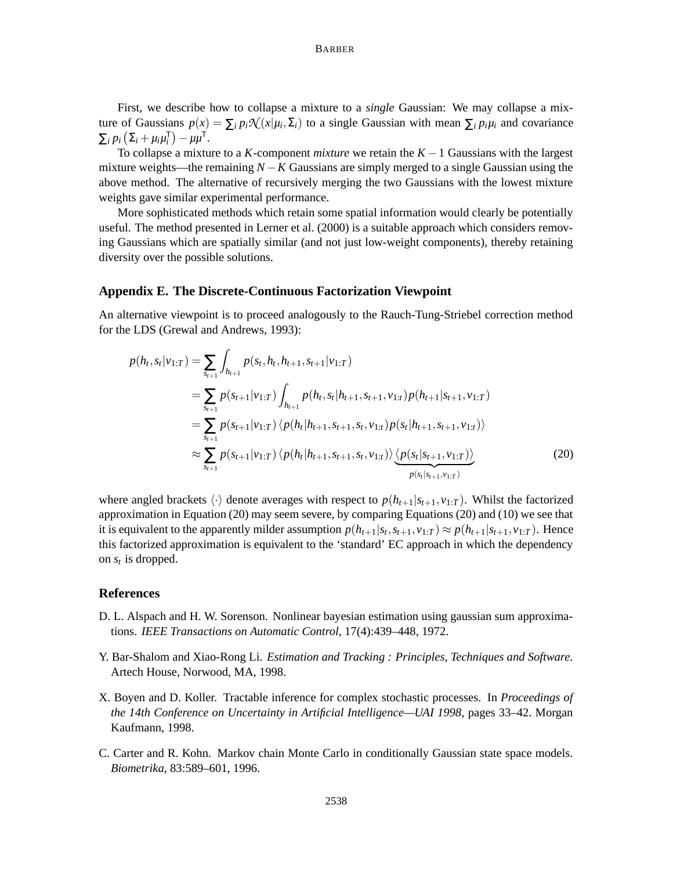#### BARBER

First, we describe how to collapse a mixture to a *single* Gaussian: We may collapse a mixture of Gaussians  $p(x) = \sum_i p_i \mathcal{N}(x|\mu_i, \Sigma_i)$  to a single Gaussian with mean  $\sum_i p_i \mu_i$  and covariance  $\sum_i p_i \left( \sum_i + \mu_i \mu_i^{\mathsf{T}} \right) - \mu \mu^{\mathsf{T}}.$ 

To collapse a mixture to a *K*-component *mixture* we retain the *K* −1 Gaussians with the largest mixture weights—the remaining  $N - K$  Gaussians are simply merged to a single Gaussian using the above method. The alternative of recursively merging the two Gaussians with the lowest mixture weights gave similar experimental performance.

More sophisticated methods which retain some spatial information would clearly be potentially useful. The method presented in Lerner et al. (2000) is a suitable approach which considers removing Gaussians which are spatially similar (and not just low-weight components), thereby retaining diversity over the possible solutions.

#### **Appendix E. The Discrete-Continuous Factorization Viewpoint**

An alternative viewpoint is to proceed analogously to the Rauch-Tung-Striebel correction method for the LDS (Grewal and Andrews, 1993):

$$
p(h_t, s_t | v_{1:T}) = \sum_{s_{t+1}} \int_{h_{t+1}} p(s_t, h_t, h_{t+1}, s_{t+1} | v_{1:T})
$$
  
\n
$$
= \sum_{s_{t+1}} p(s_{t+1} | v_{1:T}) \int_{h_{t+1}} p(h_t, s_t | h_{t+1}, s_{t+1}, v_{1:T}) p(h_{t+1} | s_{t+1}, v_{1:T})
$$
  
\n
$$
= \sum_{s_{t+1}} p(s_{t+1} | v_{1:T}) \langle p(h_t | h_{t+1}, s_{t+1}, s_t, v_{1:t}) p(s_t | h_{t+1}, s_{t+1}, v_{1:t}) \rangle
$$
  
\n
$$
\approx \sum_{s_{t+1}} p(s_{t+1} | v_{1:T}) \langle p(h_t | h_{t+1}, s_{t+1}, s_t, v_{1:t}) \rangle \underbrace{\langle p(s_t | s_{t+1}, v_{1:T}) \rangle}_{p(s_t | s_{t+1}, v_{1:T})}
$$
\n(20)

where angled brackets  $\langle \cdot \rangle$  denote averages with respect to  $p(h_{t+1}|s_{t+1}, v_{1:T})$ . Whilst the factorized approximation in Equation (20) may seem severe, by comparing Equations (20) and (10) we see that it is equivalent to the apparently milder assumption  $p(h_{t+1}|s_t,s_{t+1},v_{1:T}) \approx p(h_{t+1}|s_{t+1},v_{1:T})$ . Hence this factorized approximation is equivalent to the 'standard' EC approach in which the dependency on  $s_t$  is dropped.

# **References**

- D. L. Alspach and H. W. Sorenson. Nonlinear bayesian estimation using gaussian sum approximations. *IEEE Transactions on Automatic Control*, 17(4):439–448, 1972.
- Y. Bar-Shalom and Xiao-Rong Li. *Estimation and Tracking : Principles, Techniques and Software*. Artech House, Norwood, MA, 1998.
- X. Boyen and D. Koller. Tractable inference for complex stochastic processes. In *Proceedings of the 14th Conference on Uncertainty in Artificial Intelligence—UAI 1998*, pages 33–42. Morgan Kaufmann, 1998.
- C. Carter and R. Kohn. Markov chain Monte Carlo in conditionally Gaussian state space models. *Biometrika*, 83:589–601, 1996.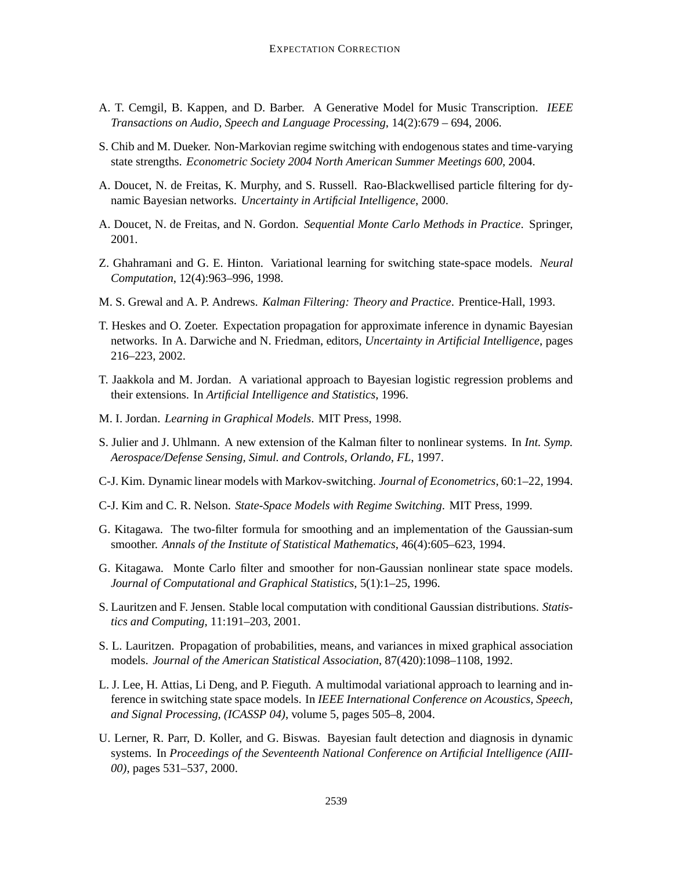- A. T. Cemgil, B. Kappen, and D. Barber. A Generative Model for Music Transcription. *IEEE Transactions on Audio, Speech and Language Processing*, 14(2):679 – 694, 2006.
- S. Chib and M. Dueker. Non-Markovian regime switching with endogenous states and time-varying state strengths. *Econometric Society 2004 North American Summer Meetings 600*, 2004.
- A. Doucet, N. de Freitas, K. Murphy, and S. Russell. Rao-Blackwellised particle filtering for dynamic Bayesian networks. *Uncertainty in Artificial Intelligence*, 2000.
- A. Doucet, N. de Freitas, and N. Gordon. *Sequential Monte Carlo Methods in Practice*. Springer, 2001.
- Z. Ghahramani and G. E. Hinton. Variational learning for switching state-space models. *Neural Computation*, 12(4):963–996, 1998.
- M. S. Grewal and A. P. Andrews. *Kalman Filtering: Theory and Practice*. Prentice-Hall, 1993.
- T. Heskes and O. Zoeter. Expectation propagation for approximate inference in dynamic Bayesian networks. In A. Darwiche and N. Friedman, editors, *Uncertainty in Artificial Intelligence*, pages 216–223, 2002.
- T. Jaakkola and M. Jordan. A variational approach to Bayesian logistic regression problems and their extensions. In *Artificial Intelligence and Statistics*, 1996.
- M. I. Jordan. *Learning in Graphical Models*. MIT Press, 1998.
- S. Julier and J. Uhlmann. A new extension of the Kalman filter to nonlinear systems. In *Int. Symp. Aerospace/Defense Sensing, Simul. and Controls, Orlando, FL*, 1997.
- C-J. Kim. Dynamic linear models with Markov-switching. *Journal of Econometrics*, 60:1–22, 1994.
- C-J. Kim and C. R. Nelson. *State-Space Models with Regime Switching*. MIT Press, 1999.
- G. Kitagawa. The two-filter formula for smoothing and an implementation of the Gaussian-sum smoother. *Annals of the Institute of Statistical Mathematics*, 46(4):605–623, 1994.
- G. Kitagawa. Monte Carlo filter and smoother for non-Gaussian nonlinear state space models. *Journal of Computational and Graphical Statistics*, 5(1):1–25, 1996.
- S. Lauritzen and F. Jensen. Stable local computation with conditional Gaussian distributions. *Statistics and Computing*, 11:191–203, 2001.
- S. L. Lauritzen. Propagation of probabilities, means, and variances in mixed graphical association models. *Journal of the American Statistical Association*, 87(420):1098–1108, 1992.
- L. J. Lee, H. Attias, Li Deng, and P. Fieguth. A multimodal variational approach to learning and inference in switching state space models. In *IEEE International Conference on Acoustics, Speech, and Signal Processing, (ICASSP 04)*, volume 5, pages 505–8, 2004.
- U. Lerner, R. Parr, D. Koller, and G. Biswas. Bayesian fault detection and diagnosis in dynamic systems. In *Proceedings of the Seventeenth National Conference on Artificial Intelligence (AIII-00)*, pages 531–537, 2000.